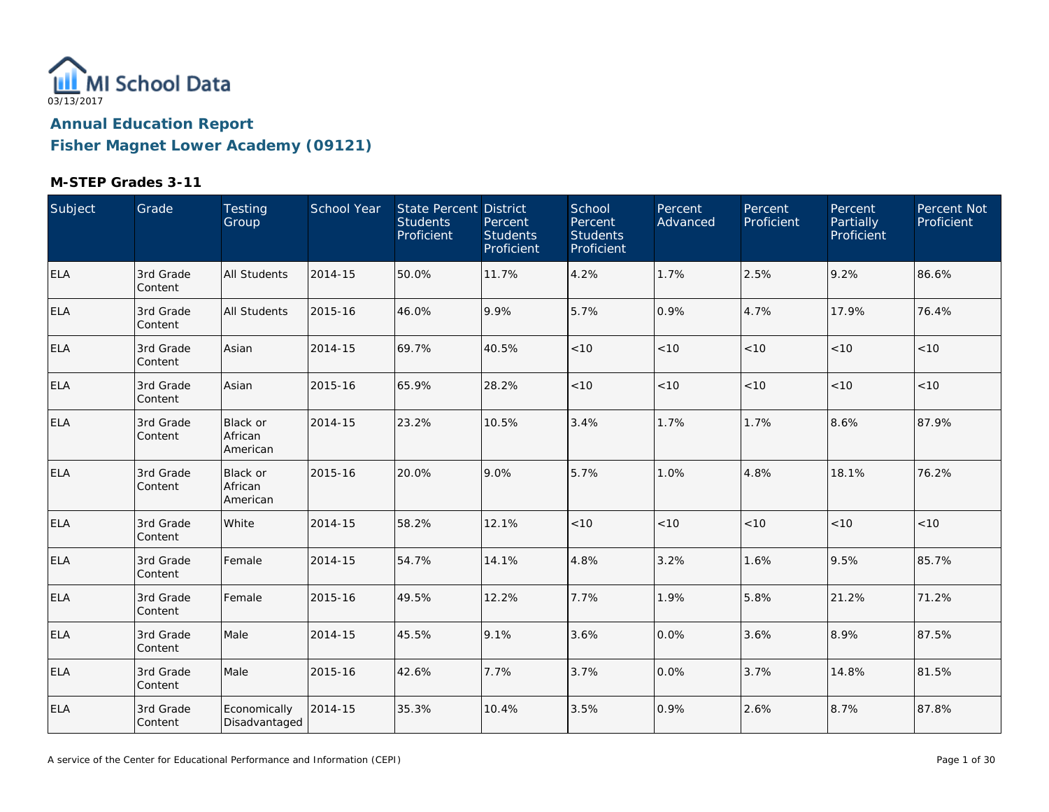

**Fisher Magnet Lower Academy (09121)**

| Subject    | Grade                | Testing<br>Group                       | School Year | State Percent District<br><b>Students</b><br>Proficient | Percent<br><b>Students</b><br>Proficient | School<br>Percent<br><b>Students</b><br>Proficient | Percent<br>Advanced | Percent<br>Proficient | Percent<br>Partially<br>Proficient | Percent Not<br>Proficient |
|------------|----------------------|----------------------------------------|-------------|---------------------------------------------------------|------------------------------------------|----------------------------------------------------|---------------------|-----------------------|------------------------------------|---------------------------|
| <b>ELA</b> | 3rd Grade<br>Content | All Students                           | 2014-15     | 50.0%                                                   | 11.7%                                    | 4.2%                                               | 1.7%                | 2.5%                  | 9.2%                               | 86.6%                     |
| <b>ELA</b> | 3rd Grade<br>Content | All Students                           | 2015-16     | 46.0%                                                   | 9.9%                                     | 5.7%                                               | 0.9%                | 4.7%                  | 17.9%                              | 76.4%                     |
| <b>ELA</b> | 3rd Grade<br>Content | Asian                                  | 2014-15     | 69.7%                                                   | 40.5%                                    | < 10                                               | < 10                | < 10                  | < 10                               | < 10                      |
| ELA        | 3rd Grade<br>Content | Asian                                  | 2015-16     | 65.9%                                                   | 28.2%                                    | < 10                                               | < 10                | < 10                  | < 10                               | < 10                      |
| <b>ELA</b> | 3rd Grade<br>Content | Black or<br>African<br>American        | 2014-15     | 23.2%                                                   | 10.5%                                    | 3.4%                                               | 1.7%                | 1.7%                  | 8.6%                               | 87.9%                     |
| <b>ELA</b> | 3rd Grade<br>Content | <b>Black or</b><br>African<br>American | 2015-16     | 20.0%                                                   | 9.0%                                     | 5.7%                                               | 1.0%                | 4.8%                  | 18.1%                              | 76.2%                     |
| <b>ELA</b> | 3rd Grade<br>Content | White                                  | 2014-15     | 58.2%                                                   | 12.1%                                    | $<10$                                              | $<10$               | < 10                  | < 10                               | $<10$                     |
| <b>ELA</b> | 3rd Grade<br>Content | Female                                 | 2014-15     | 54.7%                                                   | 14.1%                                    | 4.8%                                               | 3.2%                | 1.6%                  | 9.5%                               | 85.7%                     |
| <b>ELA</b> | 3rd Grade<br>Content | Female                                 | 2015-16     | 49.5%                                                   | 12.2%                                    | 7.7%                                               | 1.9%                | 5.8%                  | 21.2%                              | 71.2%                     |
| <b>ELA</b> | 3rd Grade<br>Content | Male                                   | 2014-15     | 45.5%                                                   | 9.1%                                     | 3.6%                                               | 0.0%                | 3.6%                  | 8.9%                               | 87.5%                     |
| <b>ELA</b> | 3rd Grade<br>Content | Male                                   | 2015-16     | 42.6%                                                   | 7.7%                                     | 3.7%                                               | 0.0%                | 3.7%                  | 14.8%                              | 81.5%                     |
| <b>ELA</b> | 3rd Grade<br>Content | Economically<br>Disadvantaged          | 2014-15     | 35.3%                                                   | 10.4%                                    | 3.5%                                               | 0.9%                | 2.6%                  | 8.7%                               | 87.8%                     |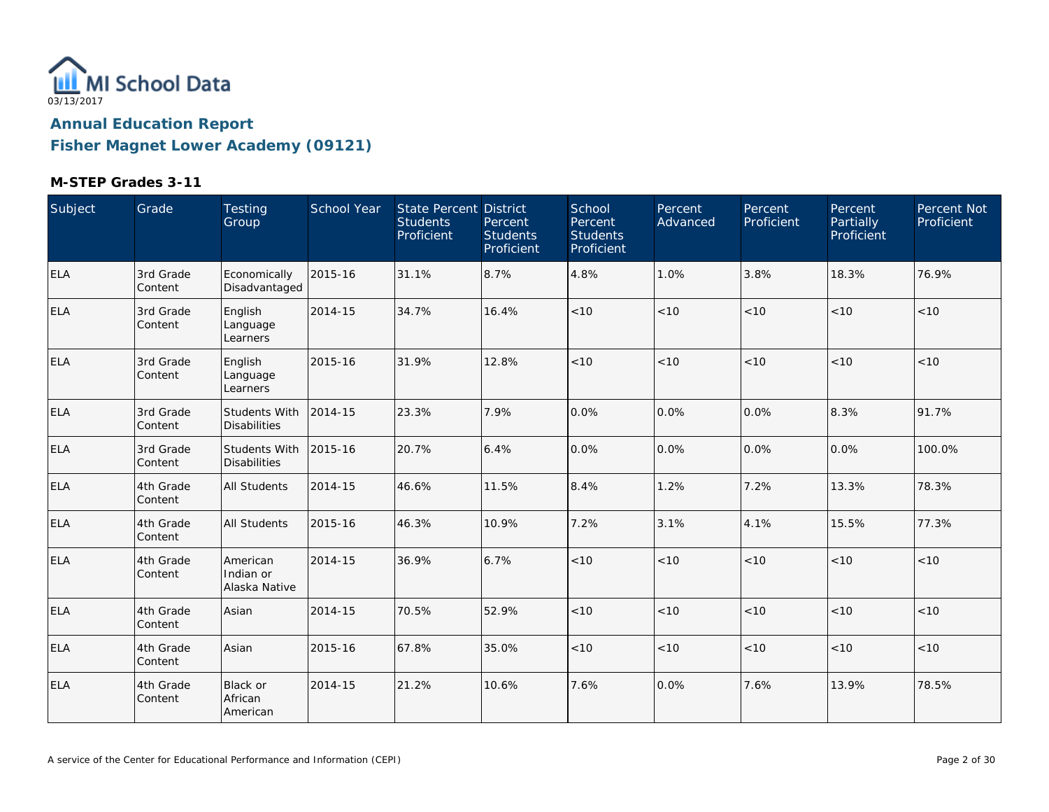

**Fisher Magnet Lower Academy (09121)**

| Subject    | Grade                | Testing<br>Group                            | School Year | State Percent District<br><b>Students</b><br>Proficient | Percent<br><b>Students</b><br>Proficient | School<br>Percent<br><b>Students</b><br>Proficient | Percent<br>Advanced | Percent<br>Proficient | Percent<br>Partially<br>Proficient | Percent Not<br>Proficient |
|------------|----------------------|---------------------------------------------|-------------|---------------------------------------------------------|------------------------------------------|----------------------------------------------------|---------------------|-----------------------|------------------------------------|---------------------------|
| ELA        | 3rd Grade<br>Content | Economically<br>Disadvantaged               | 2015-16     | 31.1%                                                   | 8.7%                                     | 4.8%                                               | 1.0%                | 3.8%                  | 18.3%                              | 76.9%                     |
| <b>ELA</b> | 3rd Grade<br>Content | English<br>Language<br>Learners             | 2014-15     | 34.7%                                                   | 16.4%                                    | < 10                                               | < 10                | < 10                  | < 10                               | < 10                      |
| <b>ELA</b> | 3rd Grade<br>Content | English<br>Language<br>Learners             | 2015-16     | 31.9%                                                   | 12.8%                                    | < 10                                               | < 10                | < 10                  | < 10                               | < 10                      |
| <b>ELA</b> | 3rd Grade<br>Content | Students With<br><b>Disabilities</b>        | 2014-15     | 23.3%                                                   | 7.9%                                     | 0.0%                                               | 0.0%                | 0.0%                  | 8.3%                               | 91.7%                     |
| ELA        | 3rd Grade<br>Content | <b>Students With</b><br><b>Disabilities</b> | 2015-16     | 20.7%                                                   | 6.4%                                     | 0.0%                                               | 0.0%                | 0.0%                  | 0.0%                               | 100.0%                    |
| ELA        | 4th Grade<br>Content | <b>All Students</b>                         | 2014-15     | 46.6%                                                   | 11.5%                                    | 8.4%                                               | 1.2%                | 7.2%                  | 13.3%                              | 78.3%                     |
| <b>ELA</b> | 4th Grade<br>Content | <b>All Students</b>                         | 2015-16     | 46.3%                                                   | 10.9%                                    | 7.2%                                               | 3.1%                | 4.1%                  | 15.5%                              | 77.3%                     |
| <b>ELA</b> | 4th Grade<br>Content | American<br>Indian or<br>Alaska Native      | 2014-15     | 36.9%                                                   | 6.7%                                     | < 10                                               | < 10                | < 10                  | < 10                               | < 10                      |
| ELA        | 4th Grade<br>Content | Asian                                       | 2014-15     | 70.5%                                                   | 52.9%                                    | < 10                                               | < 10                | < 10                  | < 10                               | $<10$                     |
| <b>ELA</b> | 4th Grade<br>Content | Asian                                       | 2015-16     | 67.8%                                                   | 35.0%                                    | < 10                                               | < 10                | < 10                  | < 10                               | < 10                      |
| <b>ELA</b> | 4th Grade<br>Content | <b>Black or</b><br>African<br>American      | 2014-15     | 21.2%                                                   | 10.6%                                    | 7.6%                                               | 0.0%                | 7.6%                  | 13.9%                              | 78.5%                     |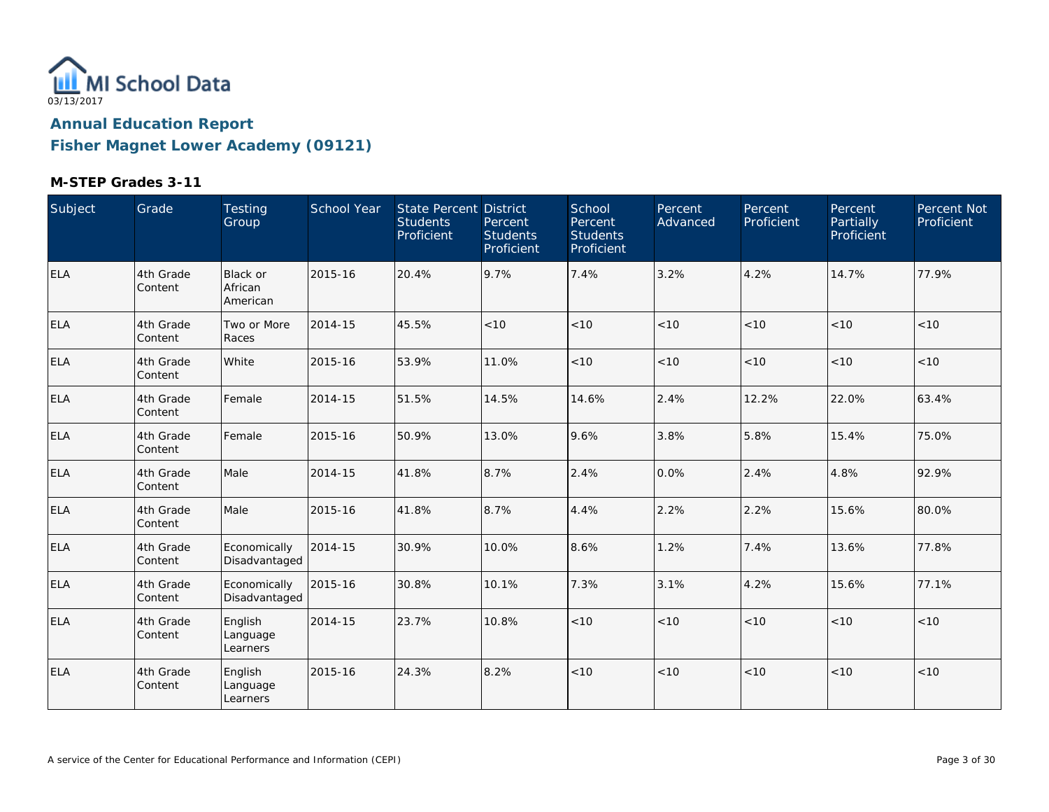

**Fisher Magnet Lower Academy (09121)**

| Subject    | Grade                 | <b>Testing</b><br>Group         | School Year | State Percent District<br><b>Students</b><br>Proficient | Percent<br><b>Students</b><br>Proficient | School<br>Percent<br><b>Students</b><br>Proficient | Percent<br>Advanced | Percent<br>Proficient | Percent<br><b>Partially</b><br>Proficient | Percent Not<br>Proficient |
|------------|-----------------------|---------------------------------|-------------|---------------------------------------------------------|------------------------------------------|----------------------------------------------------|---------------------|-----------------------|-------------------------------------------|---------------------------|
| <b>ELA</b> | 4th Grade<br>Content  | Black or<br>African<br>American | 2015-16     | 20.4%                                                   | 9.7%                                     | 7.4%                                               | 3.2%                | 4.2%                  | 14.7%                                     | 77.9%                     |
| ELA        | 4th Grade<br>Content  | Two or More<br>Races            | 2014-15     | 45.5%                                                   | < 10                                     | < 10                                               | < 10                | < 10                  | < 10                                      | < 10                      |
| ELA        | 4th Grade<br>Content  | White                           | 2015-16     | 53.9%                                                   | 11.0%                                    | < 10                                               | < 10                | < 10                  | < 10                                      | $<10$                     |
| ELA        | 4th Grade<br>Content  | Female                          | 2014-15     | 51.5%                                                   | 14.5%                                    | 14.6%                                              | 2.4%                | 12.2%                 | 22.0%                                     | 63.4%                     |
| <b>ELA</b> | 4th Grade<br>Content  | Female                          | 2015-16     | 50.9%                                                   | 13.0%                                    | 9.6%                                               | 3.8%                | 5.8%                  | 15.4%                                     | 75.0%                     |
| <b>ELA</b> | 4th Grade<br> Content | Male                            | 2014-15     | 41.8%                                                   | 8.7%                                     | 2.4%                                               | 0.0%                | 2.4%                  | 4.8%                                      | 92.9%                     |
| <b>ELA</b> | 4th Grade<br>Content  | Male                            | 2015-16     | 41.8%                                                   | 8.7%                                     | 4.4%                                               | 2.2%                | 2.2%                  | 15.6%                                     | 80.0%                     |
| <b>ELA</b> | 4th Grade<br>Content  | Economically<br>Disadvantaged   | 2014-15     | 30.9%                                                   | 10.0%                                    | 8.6%                                               | 1.2%                | 7.4%                  | 13.6%                                     | 77.8%                     |
| <b>ELA</b> | 4th Grade<br> Content | Economically<br>Disadvantaged   | 2015-16     | 30.8%                                                   | 10.1%                                    | 7.3%                                               | 3.1%                | 4.2%                  | 15.6%                                     | 77.1%                     |
| <b>ELA</b> | 4th Grade<br> Content | English<br>Language<br>Learners | 2014-15     | 23.7%                                                   | 10.8%                                    | < 10                                               | < 10                | < 10                  | < 10                                      | < 10                      |
| <b>ELA</b> | 4th Grade<br> Content | English<br>Language<br>Learners | 2015-16     | 24.3%                                                   | 8.2%                                     | < 10                                               | < 10                | < 10                  | < 10                                      | < 10                      |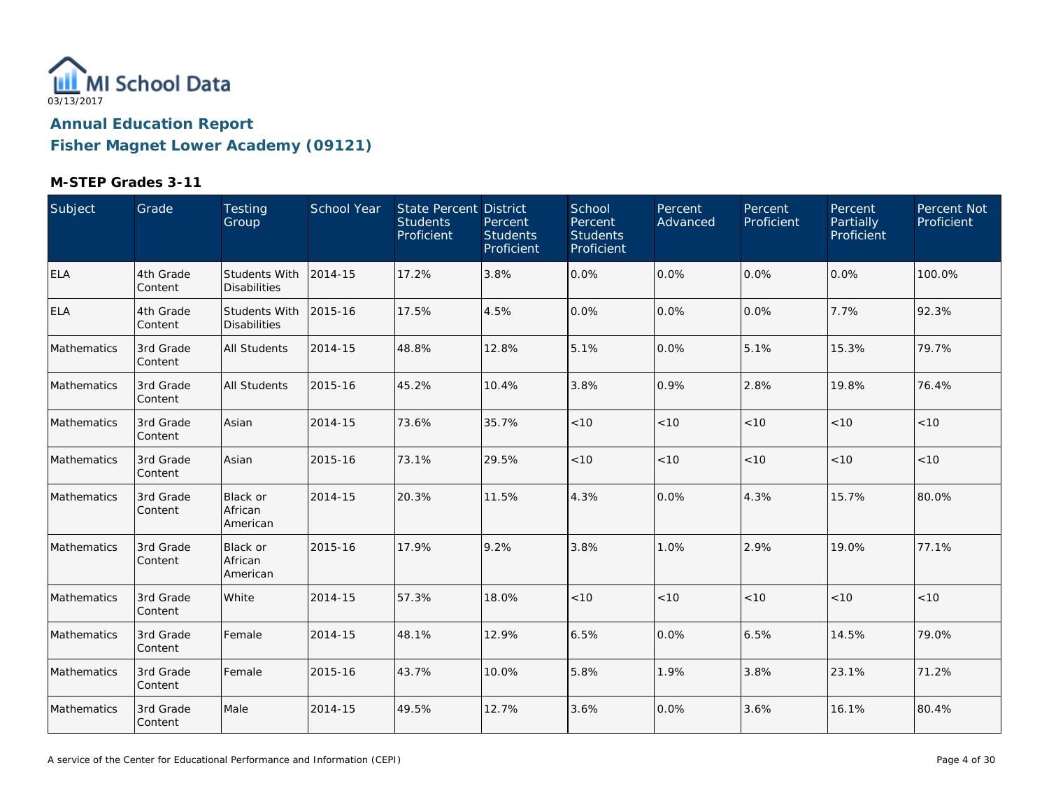

**Fisher Magnet Lower Academy (09121)**

| Subject     | Grade                | Testing<br>Group                            | School Year | State Percent District<br><b>Students</b><br>Proficient | Percent<br><b>Students</b><br>Proficient | School<br>Percent<br><b>Students</b><br>Proficient | Percent<br>Advanced | Percent<br>Proficient | Percent<br>Partially<br>Proficient | Percent Not<br>Proficient |
|-------------|----------------------|---------------------------------------------|-------------|---------------------------------------------------------|------------------------------------------|----------------------------------------------------|---------------------|-----------------------|------------------------------------|---------------------------|
| <b>ELA</b>  | 4th Grade<br>Content | <b>Students With</b><br><b>Disabilities</b> | 2014-15     | 17.2%                                                   | 3.8%                                     | 0.0%                                               | 0.0%                | 0.0%                  | 0.0%                               | 100.0%                    |
| <b>ELA</b>  | 4th Grade<br>Content | <b>Students With</b><br><b>Disabilities</b> | 2015-16     | 17.5%                                                   | 4.5%                                     | 0.0%                                               | 0.0%                | 0.0%                  | 7.7%                               | 92.3%                     |
| Mathematics | 3rd Grade<br>Content | <b>All Students</b>                         | 2014-15     | 48.8%                                                   | 12.8%                                    | 5.1%                                               | 0.0%                | 5.1%                  | 15.3%                              | 79.7%                     |
| Mathematics | 3rd Grade<br>Content | <b>All Students</b>                         | 2015-16     | 45.2%                                                   | 10.4%                                    | 3.8%                                               | 0.9%                | 2.8%                  | 19.8%                              | 76.4%                     |
| Mathematics | 3rd Grade<br>Content | Asian                                       | 2014-15     | 73.6%                                                   | 35.7%                                    | < 10                                               | < 10                | < 10                  | < 10                               | < 10                      |
| Mathematics | 3rd Grade<br>Content | Asian                                       | 2015-16     | 73.1%                                                   | 29.5%                                    | < 10                                               | < 10                | < 10                  | < 10                               | < 10                      |
| Mathematics | 3rd Grade<br>Content | Black or<br>African<br>American             | 2014-15     | 20.3%                                                   | 11.5%                                    | 4.3%                                               | 0.0%                | 4.3%                  | 15.7%                              | 80.0%                     |
| Mathematics | 3rd Grade<br>Content | <b>Black or</b><br>African<br>American      | 2015-16     | 17.9%                                                   | 9.2%                                     | 3.8%                                               | 1.0%                | 2.9%                  | 19.0%                              | 77.1%                     |
| Mathematics | 3rd Grade<br>Content | White                                       | 2014-15     | 57.3%                                                   | 18.0%                                    | < 10                                               | < 10                | < 10                  | < 10                               | < 10                      |
| Mathematics | 3rd Grade<br>Content | Female                                      | 2014-15     | 48.1%                                                   | 12.9%                                    | 6.5%                                               | 0.0%                | 6.5%                  | 14.5%                              | 79.0%                     |
| Mathematics | 3rd Grade<br>Content | Female                                      | 2015-16     | 43.7%                                                   | 10.0%                                    | 5.8%                                               | 1.9%                | 3.8%                  | 23.1%                              | 71.2%                     |
| Mathematics | 3rd Grade<br>Content | Male                                        | 2014-15     | 49.5%                                                   | 12.7%                                    | 3.6%                                               | 0.0%                | 3.6%                  | 16.1%                              | 80.4%                     |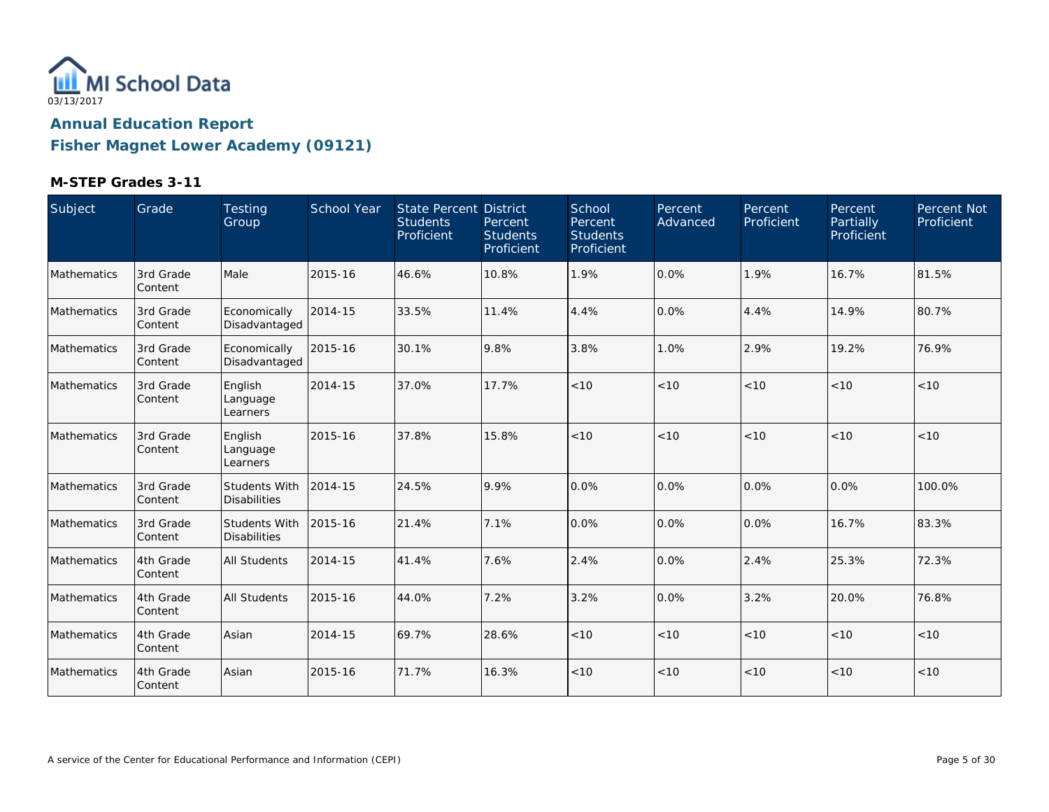

**Fisher Magnet Lower Academy (09121)**

| Subject            | Grade                 | Testing<br>Group                            | <b>School Year</b> | <b>State Percent District</b><br><b>Students</b><br>Proficient | Percent<br><b>Students</b><br>Proficient | School<br>Percent<br><b>Students</b><br>Proficient | Percent<br>Advanced | Percent<br>Proficient | Percent<br>Partially<br>Proficient | Percent Not<br>Proficient |
|--------------------|-----------------------|---------------------------------------------|--------------------|----------------------------------------------------------------|------------------------------------------|----------------------------------------------------|---------------------|-----------------------|------------------------------------|---------------------------|
| Mathematics        | 3rd Grade<br>Content  | Male                                        | 2015-16            | 46.6%                                                          | 10.8%                                    | 1.9%                                               | 0.0%                | 1.9%                  | 16.7%                              | 81.5%                     |
| Mathematics        | 3rd Grade<br>Content  | Economically<br>Disadvantaged               | 2014-15            | 33.5%                                                          | 11.4%                                    | 4.4%                                               | 0.0%                | 4.4%                  | 14.9%                              | 80.7%                     |
| <b>Mathematics</b> | 3rd Grade<br>Content  | Economically<br>Disadvantaged               | 2015-16            | 30.1%                                                          | 9.8%                                     | 3.8%                                               | 1.0%                | 2.9%                  | 19.2%                              | 76.9%                     |
| Mathematics        | 3rd Grade<br>Content  | English<br>Language<br>Learners             | 2014-15            | 37.0%                                                          | 17.7%                                    | < 10                                               | < 10                | < 10                  | < 10                               | < 10                      |
| Mathematics        | 3rd Grade<br>Content  | English<br>Language<br>Learners             | 2015-16            | 37.8%                                                          | 15.8%                                    | < 10                                               | < 10                | < 10                  | < 10                               | < 10                      |
| Mathematics        | 3rd Grade<br>Content  | <b>Students With</b><br><b>Disabilities</b> | 2014-15            | 24.5%                                                          | 9.9%                                     | 0.0%                                               | 0.0%                | 0.0%                  | 0.0%                               | 100.0%                    |
| Mathematics        | 3rd Grade<br>Content  | Students With<br><b>Disabilities</b>        | 2015-16            | 21.4%                                                          | 7.1%                                     | 0.0%                                               | 0.0%                | 0.0%                  | 16.7%                              | 83.3%                     |
| Mathematics        | 4th Grade<br> Content | <b>All Students</b>                         | 2014-15            | 41.4%                                                          | 7.6%                                     | 2.4%                                               | 0.0%                | 2.4%                  | 25.3%                              | 72.3%                     |
| Mathematics        | 4th Grade<br>Content  | <b>All Students</b>                         | 2015-16            | 44.0%                                                          | 7.2%                                     | 3.2%                                               | 0.0%                | 3.2%                  | 20.0%                              | 76.8%                     |
| Mathematics        | 4th Grade<br> Content | Asian                                       | 2014-15            | 69.7%                                                          | 28.6%                                    | < 10                                               | < 10                | < 10                  | < 10                               | < 10                      |
| Mathematics        | 4th Grade<br>Content  | Asian                                       | 2015-16            | 71.7%                                                          | 16.3%                                    | < 10                                               | < 10                | < 10                  | < 10                               | < 10                      |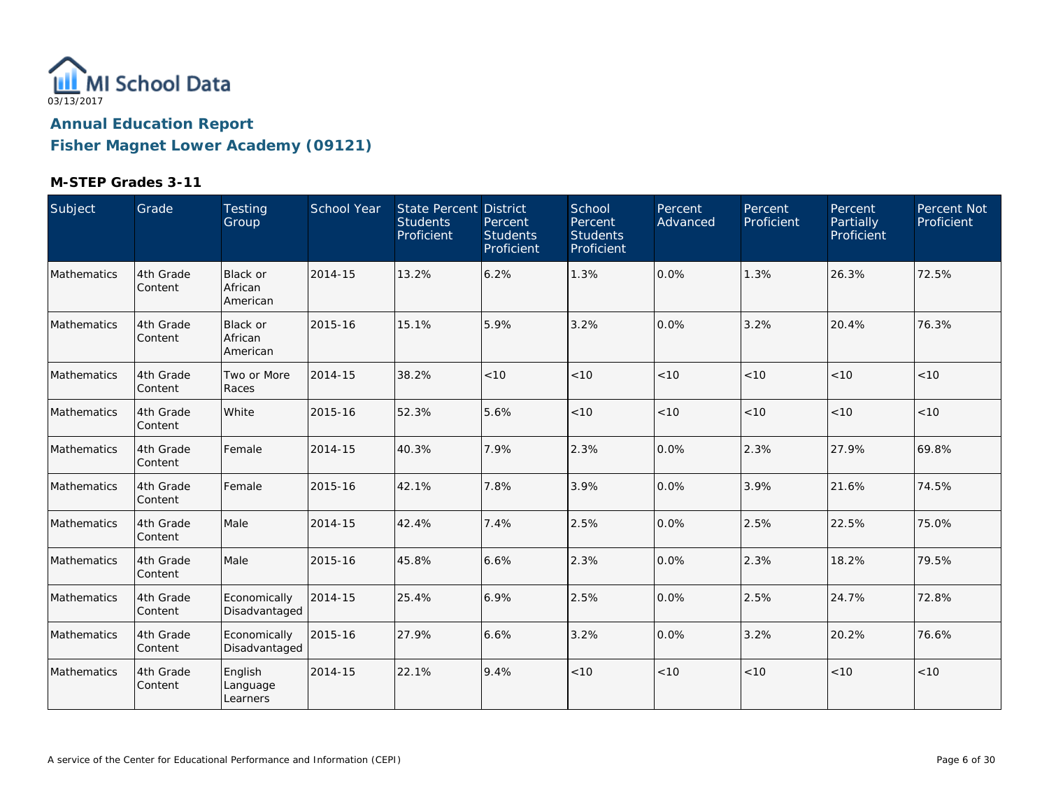

**Fisher Magnet Lower Academy (09121)**

| Subject     | Grade                | Testing<br>Group                       | School Year | <b>State Percent District</b><br><b>Students</b><br>Proficient | Percent<br><b>Students</b><br>Proficient | School<br>Percent<br><b>Students</b><br>Proficient | Percent<br>Advanced | Percent<br>Proficient | Percent<br>Partially<br>Proficient | Percent Not<br>Proficient |
|-------------|----------------------|----------------------------------------|-------------|----------------------------------------------------------------|------------------------------------------|----------------------------------------------------|---------------------|-----------------------|------------------------------------|---------------------------|
| Mathematics | 4th Grade<br>Content | Black or<br>African<br>American        | 2014-15     | 13.2%                                                          | 6.2%                                     | 1.3%                                               | 0.0%                | 1.3%                  | 26.3%                              | 72.5%                     |
| Mathematics | 4th Grade<br>Content | <b>Black or</b><br>African<br>American | 2015-16     | 15.1%                                                          | 5.9%                                     | 3.2%                                               | 0.0%                | 3.2%                  | 20.4%                              | 76.3%                     |
| Mathematics | 4th Grade<br>Content | Two or More<br>Races                   | 2014-15     | 38.2%                                                          | < 10                                     | < 10                                               | < 10                | < 10                  | < 10                               | < 10                      |
| Mathematics | 4th Grade<br>Content | White                                  | 2015-16     | 52.3%                                                          | 5.6%                                     | $<10$                                              | $<10$               | < 10                  | < 10                               | < 10                      |
| Mathematics | 4th Grade<br>Content | Female                                 | 2014-15     | 40.3%                                                          | 7.9%                                     | 2.3%                                               | 0.0%                | 2.3%                  | 27.9%                              | 69.8%                     |
| Mathematics | 4th Grade<br>Content | Female                                 | 2015-16     | 42.1%                                                          | 7.8%                                     | 3.9%                                               | 0.0%                | 3.9%                  | 21.6%                              | 74.5%                     |
| Mathematics | 4th Grade<br>Content | Male                                   | 2014-15     | 42.4%                                                          | 7.4%                                     | 2.5%                                               | 0.0%                | 2.5%                  | 22.5%                              | 75.0%                     |
| Mathematics | 4th Grade<br>Content | Male                                   | 2015-16     | 45.8%                                                          | 6.6%                                     | 2.3%                                               | 0.0%                | 2.3%                  | 18.2%                              | 79.5%                     |
| Mathematics | 4th Grade<br>Content | Economically<br>Disadvantaged          | 2014-15     | 25.4%                                                          | 6.9%                                     | 2.5%                                               | 0.0%                | 2.5%                  | 24.7%                              | 72.8%                     |
| Mathematics | 4th Grade<br>Content | Economically<br>Disadvantaged          | 2015-16     | 27.9%                                                          | 6.6%                                     | 3.2%                                               | 0.0%                | 3.2%                  | 20.2%                              | 76.6%                     |
| Mathematics | 4th Grade<br>Content | English<br>Language<br>Learners        | 2014-15     | 22.1%                                                          | 9.4%                                     | < 10                                               | < 10                | < 10                  | < 10                               | < 10                      |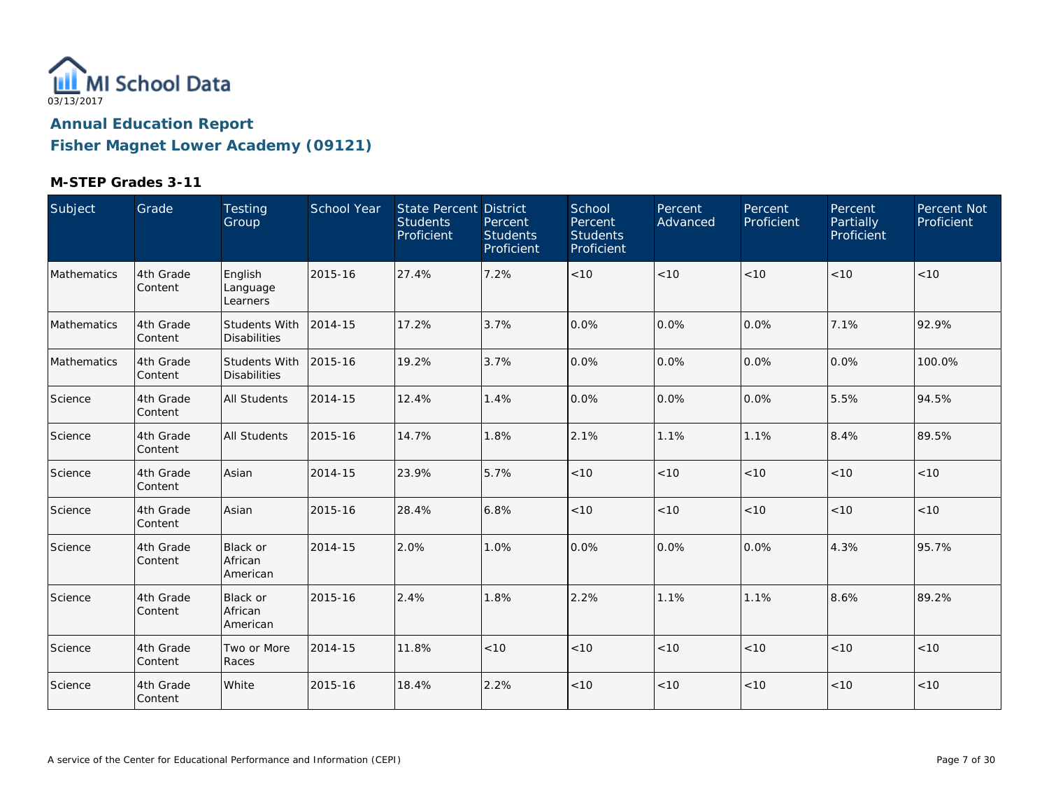

**Fisher Magnet Lower Academy (09121)**

| Subject     | Grade                | Testing<br>Group                            | School Year | State Percent District<br><b>Students</b><br>Proficient | Percent<br><b>Students</b><br>Proficient | School<br>Percent<br><b>Students</b><br>Proficient | Percent<br>Advanced | Percent<br>Proficient | Percent<br>Partially<br>Proficient | Percent Not<br>Proficient |
|-------------|----------------------|---------------------------------------------|-------------|---------------------------------------------------------|------------------------------------------|----------------------------------------------------|---------------------|-----------------------|------------------------------------|---------------------------|
| Mathematics | 4th Grade<br>Content | English<br>Language<br>Learners             | 2015-16     | 27.4%                                                   | 7.2%                                     | < 10                                               | < 10                | < 10                  | < 10                               | < 10                      |
| Mathematics | 4th Grade<br>Content | <b>Students With</b><br><b>Disabilities</b> | 2014-15     | 17.2%                                                   | 3.7%                                     | 0.0%                                               | 0.0%                | 0.0%                  | 7.1%                               | 92.9%                     |
| Mathematics | 4th Grade<br>Content | <b>Students With</b><br><b>Disabilities</b> | 2015-16     | 19.2%                                                   | 3.7%                                     | 0.0%                                               | 0.0%                | 0.0%                  | 0.0%                               | 100.0%                    |
| Science     | 4th Grade<br>Content | <b>All Students</b>                         | 2014-15     | 12.4%                                                   | 1.4%                                     | 0.0%                                               | 0.0%                | 0.0%                  | 5.5%                               | 94.5%                     |
| Science     | 4th Grade<br>Content | <b>All Students</b>                         | 2015-16     | 14.7%                                                   | 1.8%                                     | 2.1%                                               | 1.1%                | 1.1%                  | 8.4%                               | 89.5%                     |
| Science     | 4th Grade<br>Content | Asian                                       | 2014-15     | 23.9%                                                   | 5.7%                                     | $<10$                                              | < 10                | < 10                  | < 10                               | $<10$                     |
| Science     | 4th Grade<br>Content | Asian                                       | 2015-16     | 28.4%                                                   | 6.8%                                     | < 10                                               | < 10                | < 10                  | < 10                               | $<10$                     |
| Science     | 4th Grade<br>Content | <b>Black or</b><br>African<br>American      | 2014-15     | 2.0%                                                    | 1.0%                                     | 0.0%                                               | 0.0%                | $0.0\%$               | 4.3%                               | 95.7%                     |
| Science     | 4th Grade<br>Content | <b>Black or</b><br>African<br>American      | 2015-16     | 2.4%                                                    | 1.8%                                     | 2.2%                                               | 1.1%                | 1.1%                  | 8.6%                               | 89.2%                     |
| Science     | 4th Grade<br>Content | Two or More<br>Races                        | 2014-15     | 11.8%                                                   | < 10                                     | < 10                                               | < 10                | < 10                  | < 10                               | < 10                      |
| Science     | 4th Grade<br>Content | White                                       | 2015-16     | 18.4%                                                   | 2.2%                                     | < 10                                               | < 10                | < 10                  | < 10                               | $<10$                     |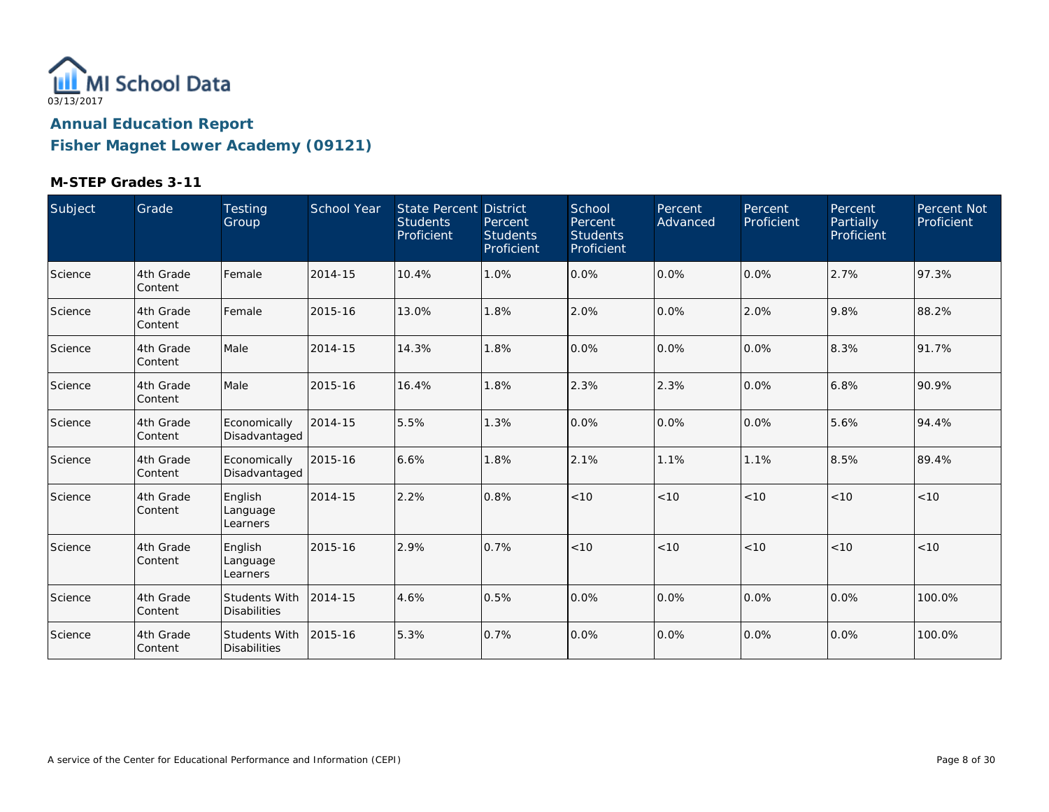

**Fisher Magnet Lower Academy (09121)**

| Subject | Grade                | Testing<br>Group                            | <b>School Year</b> | State Percent District<br><b>Students</b><br>Proficient | Percent<br><b>Students</b><br>Proficient | School<br>Percent<br><b>Students</b><br><b>Proficient</b> | Percent<br>Advanced | Percent<br>Proficient | Percent<br>Partially<br>Proficient | Percent Not<br>Proficient |
|---------|----------------------|---------------------------------------------|--------------------|---------------------------------------------------------|------------------------------------------|-----------------------------------------------------------|---------------------|-----------------------|------------------------------------|---------------------------|
| Science | 4th Grade<br>Content | Female                                      | 2014-15            | 10.4%                                                   | 1.0%                                     | 0.0%                                                      | 0.0%                | 0.0%                  | 2.7%                               | 97.3%                     |
| Science | 4th Grade<br>Content | Female                                      | 2015-16            | 13.0%                                                   | 1.8%                                     | 2.0%                                                      | 0.0%                | 2.0%                  | 9.8%                               | 88.2%                     |
| Science | 4th Grade<br>Content | Male                                        | 2014-15            | 14.3%                                                   | 1.8%                                     | 0.0%                                                      | 0.0%                | 0.0%                  | 8.3%                               | 91.7%                     |
| Science | 4th Grade<br>Content | Male                                        | 2015-16            | 16.4%                                                   | 1.8%                                     | 2.3%                                                      | 2.3%                | 0.0%                  | 6.8%                               | 90.9%                     |
| Science | 4th Grade<br>Content | Economically<br>Disadvantaged               | 2014-15            | 5.5%                                                    | 1.3%                                     | 0.0%                                                      | 0.0%                | 0.0%                  | 5.6%                               | 94.4%                     |
| Science | 4th Grade<br>Content | Economically<br>Disadvantaged               | 2015-16            | 6.6%                                                    | 1.8%                                     | 2.1%                                                      | 1.1%                | 1.1%                  | 8.5%                               | 89.4%                     |
| Science | 4th Grade<br>Content | English<br>Language<br>Learners             | 2014-15            | 2.2%                                                    | 0.8%                                     | < 10                                                      | < 10                | < 10                  | < 10                               | < 10                      |
| Science | 4th Grade<br>Content | English<br>Language<br>Learners             | 2015-16            | 2.9%                                                    | 0.7%                                     | < 10                                                      | < 10                | < 10                  | < 10                               | < 10                      |
| Science | 4th Grade<br>Content | <b>Students With</b><br><b>Disabilities</b> | 2014-15            | 4.6%                                                    | 0.5%                                     | 0.0%                                                      | 0.0%                | 0.0%                  | 0.0%                               | 100.0%                    |
| Science | 4th Grade<br>Content | Students With<br><b>Disabilities</b>        | 2015-16            | 5.3%                                                    | 0.7%                                     | 0.0%                                                      | 0.0%                | 0.0%                  | 0.0%                               | 100.0%                    |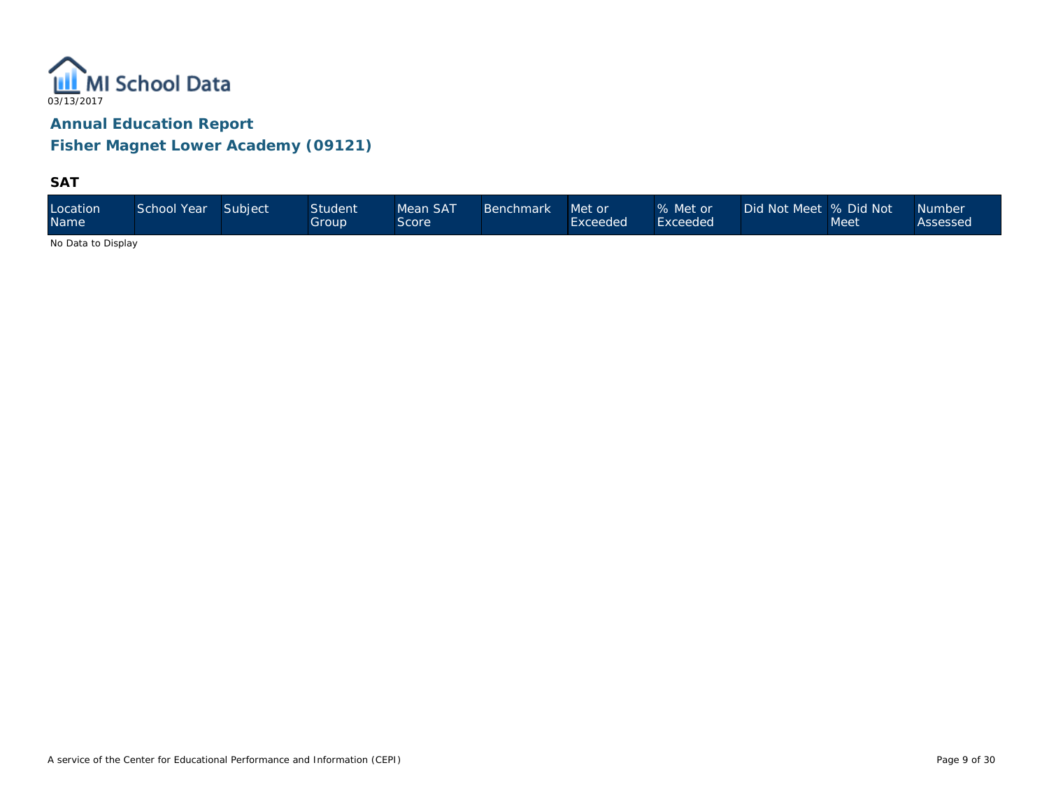

**Fisher Magnet Lower Academy (09121)**

### **SAT**

| Location<br><b>Name</b> | School Year | Subject | <b>Student</b><br>Group | Mean SAT<br>Score | <b>Benchmark</b> | Met or<br>Exceeded | % Met or<br>Exceeded | Did Not Meet  % Did Not \ | Meet | <b>Number</b><br>Assessed |
|-------------------------|-------------|---------|-------------------------|-------------------|------------------|--------------------|----------------------|---------------------------|------|---------------------------|
|-------------------------|-------------|---------|-------------------------|-------------------|------------------|--------------------|----------------------|---------------------------|------|---------------------------|

No Data to Display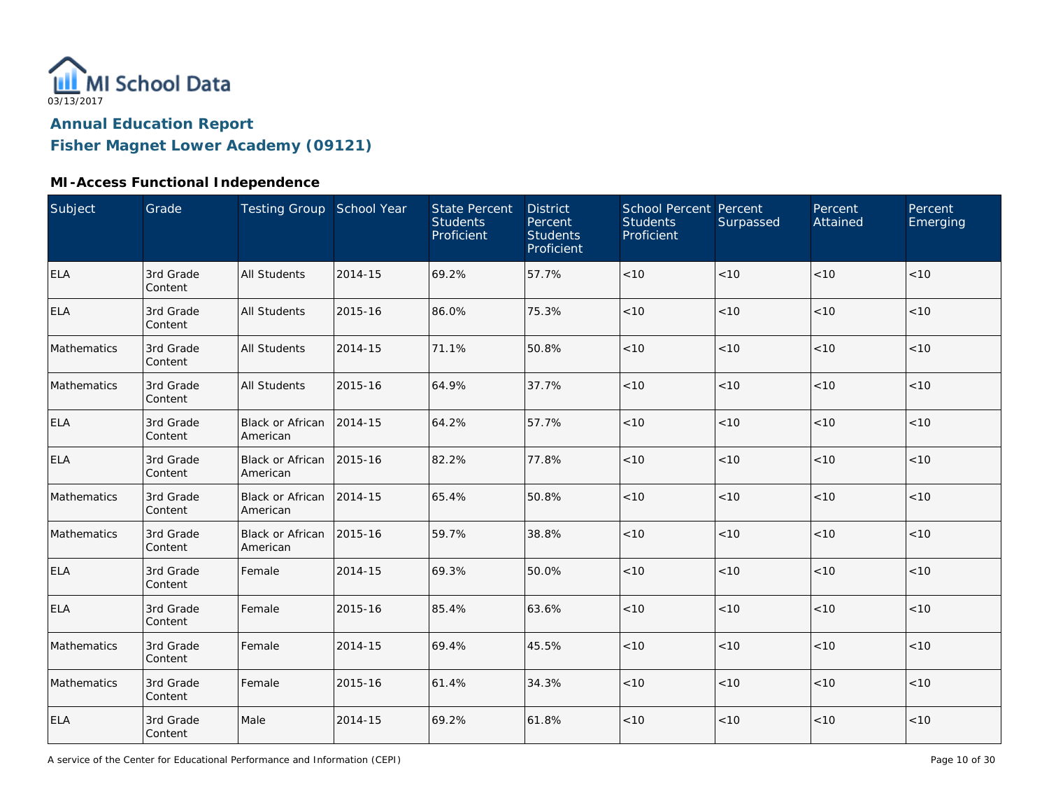

**Fisher Magnet Lower Academy (09121)**

## **MI-Access Functional Independence**

| Subject     | Grade                | Testing Group School Year           |         | <b>State Percent</b><br><b>Students</b><br>Proficient | <b>District</b><br>Percent<br><b>Students</b><br>Proficient | School Percent Percent<br><b>Students</b><br>Proficient | Surpassed | Percent<br>Attained | Percent<br>Emerging |
|-------------|----------------------|-------------------------------------|---------|-------------------------------------------------------|-------------------------------------------------------------|---------------------------------------------------------|-----------|---------------------|---------------------|
| <b>ELA</b>  | 3rd Grade<br>Content | <b>All Students</b>                 | 2014-15 | 69.2%                                                 | 57.7%                                                       | $<10$                                                   | < 10      | < 10                | < 10                |
| <b>ELA</b>  | 3rd Grade<br>Content | <b>All Students</b>                 | 2015-16 | 86.0%                                                 | 75.3%                                                       | < 10                                                    | < 10      | < 10                | < 10                |
| Mathematics | 3rd Grade<br>Content | <b>All Students</b>                 | 2014-15 | 71.1%                                                 | 50.8%                                                       | < 10                                                    | < 10      | < 10                | < 10                |
| Mathematics | 3rd Grade<br>Content | <b>All Students</b>                 | 2015-16 | 64.9%                                                 | 37.7%                                                       | < 10                                                    | < 10      | < 10                | < 10                |
| <b>ELA</b>  | 3rd Grade<br>Content | <b>Black or African</b><br>American | 2014-15 | 64.2%                                                 | 57.7%                                                       | $<10$                                                   | < 10      | < 10                | < 10                |
| <b>ELA</b>  | 3rd Grade<br>Content | <b>Black or African</b><br>American | 2015-16 | 82.2%                                                 | 77.8%                                                       | < 10                                                    | < 10      | < 10                | < 10                |
| Mathematics | 3rd Grade<br>Content | Black or African<br>American        | 2014-15 | 65.4%                                                 | 50.8%                                                       | < 10                                                    | < 10      | < 10                | < 10                |
| Mathematics | 3rd Grade<br>Content | Black or African<br>American        | 2015-16 | 59.7%                                                 | 38.8%                                                       | $<10$                                                   | $<10$     | < 10                | < 10                |
| <b>ELA</b>  | 3rd Grade<br>Content | Female                              | 2014-15 | 69.3%                                                 | 50.0%                                                       | < 10                                                    | < 10      | < 10                | < 10                |
| <b>ELA</b>  | 3rd Grade<br>Content | Female                              | 2015-16 | 85.4%                                                 | 63.6%                                                       | $<10$                                                   | < 10      | < 10                | < 10                |
| Mathematics | 3rd Grade<br>Content | Female                              | 2014-15 | 69.4%                                                 | 45.5%                                                       | < 10                                                    | < 10      | < 10                | < 10                |
| Mathematics | 3rd Grade<br>Content | Female                              | 2015-16 | 61.4%                                                 | 34.3%                                                       | $<10$                                                   | < 10      | < 10                | < 10                |
| <b>ELA</b>  | 3rd Grade<br>Content | Male                                | 2014-15 | 69.2%                                                 | 61.8%                                                       | $<10$                                                   | $<10$     | < 10                | < 10                |

A service of the Center for Educational Performance and Information (CEPI)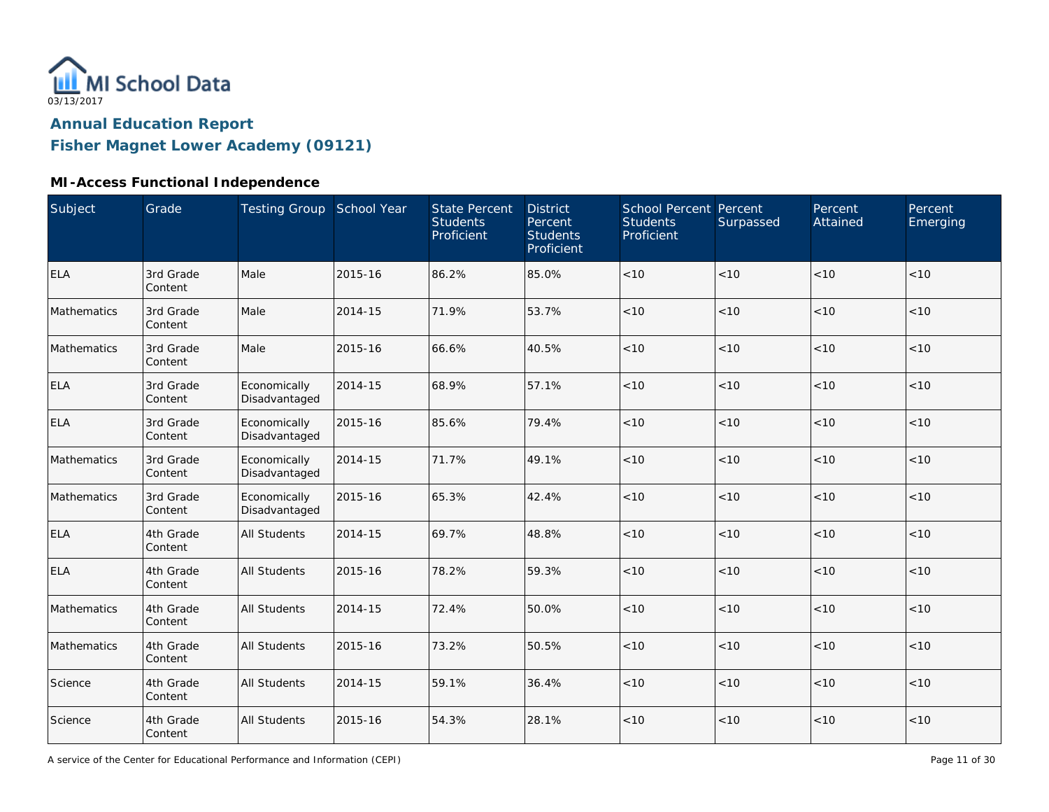

**Fisher Magnet Lower Academy (09121)**

## **MI-Access Functional Independence**

| Subject     | Grade                | Testing Group School Year     |         | <b>State Percent</b><br><b>Students</b><br>Proficient | <b>District</b><br>Percent<br><b>Students</b><br>Proficient | School Percent Percent<br><b>Students</b><br>Proficient | Surpassed | Percent<br>Attained | Percent<br>Emerging |
|-------------|----------------------|-------------------------------|---------|-------------------------------------------------------|-------------------------------------------------------------|---------------------------------------------------------|-----------|---------------------|---------------------|
| <b>ELA</b>  | 3rd Grade<br>Content | Male                          | 2015-16 | 86.2%                                                 | 85.0%                                                       | $<10$                                                   | < 10      | < 10                | < 10                |
| Mathematics | 3rd Grade<br>Content | Male                          | 2014-15 | 71.9%                                                 | 53.7%                                                       | < 10                                                    | < 10      | < 10                | < 10                |
| Mathematics | 3rd Grade<br>Content | Male                          | 2015-16 | 66.6%                                                 | 40.5%                                                       | < 10                                                    | < 10      | < 10                | < 10                |
| <b>ELA</b>  | 3rd Grade<br>Content | Economically<br>Disadvantaged | 2014-15 | 68.9%                                                 | 57.1%                                                       | < 10                                                    | < 10      | < 10                | < 10                |
| <b>ELA</b>  | 3rd Grade<br>Content | Economically<br>Disadvantaged | 2015-16 | 85.6%                                                 | 79.4%                                                       | < 10                                                    | < 10      | < 10                | < 10                |
| Mathematics | 3rd Grade<br>Content | Economically<br>Disadvantaged | 2014-15 | 71.7%                                                 | 49.1%                                                       | $<10$                                                   | < 10      | < 10                | < 10                |
| Mathematics | 3rd Grade<br>Content | Economically<br>Disadvantaged | 2015-16 | 65.3%                                                 | 42.4%                                                       | < 10                                                    | < 10      | < 10                | < 10                |
| <b>ELA</b>  | 4th Grade<br>Content | <b>All Students</b>           | 2014-15 | 69.7%                                                 | 48.8%                                                       | $<10$                                                   | $<10$     | <10                 | < 10                |
| <b>ELA</b>  | 4th Grade<br>Content | <b>All Students</b>           | 2015-16 | 78.2%                                                 | 59.3%                                                       | < 10                                                    | < 10      | < 10                | < 10                |
| Mathematics | 4th Grade<br>Content | <b>All Students</b>           | 2014-15 | 72.4%                                                 | 50.0%                                                       | < 10                                                    | < 10      | < 10                | < 10                |
| Mathematics | 4th Grade<br>Content | <b>All Students</b>           | 2015-16 | 73.2%                                                 | 50.5%                                                       | < 10                                                    | < 10      | < 10                | < 10                |
| Science     | 4th Grade<br>Content | <b>All Students</b>           | 2014-15 | 59.1%                                                 | 36.4%                                                       | $<10$                                                   | < 10      | < 10                | $<10$               |
| Science     | 4th Grade<br>Content | <b>All Students</b>           | 2015-16 | 54.3%                                                 | 28.1%                                                       | $<10$                                                   | $<10$     | < 10                | < 10                |

A service of the Center for Educational Performance and Information (CEPI)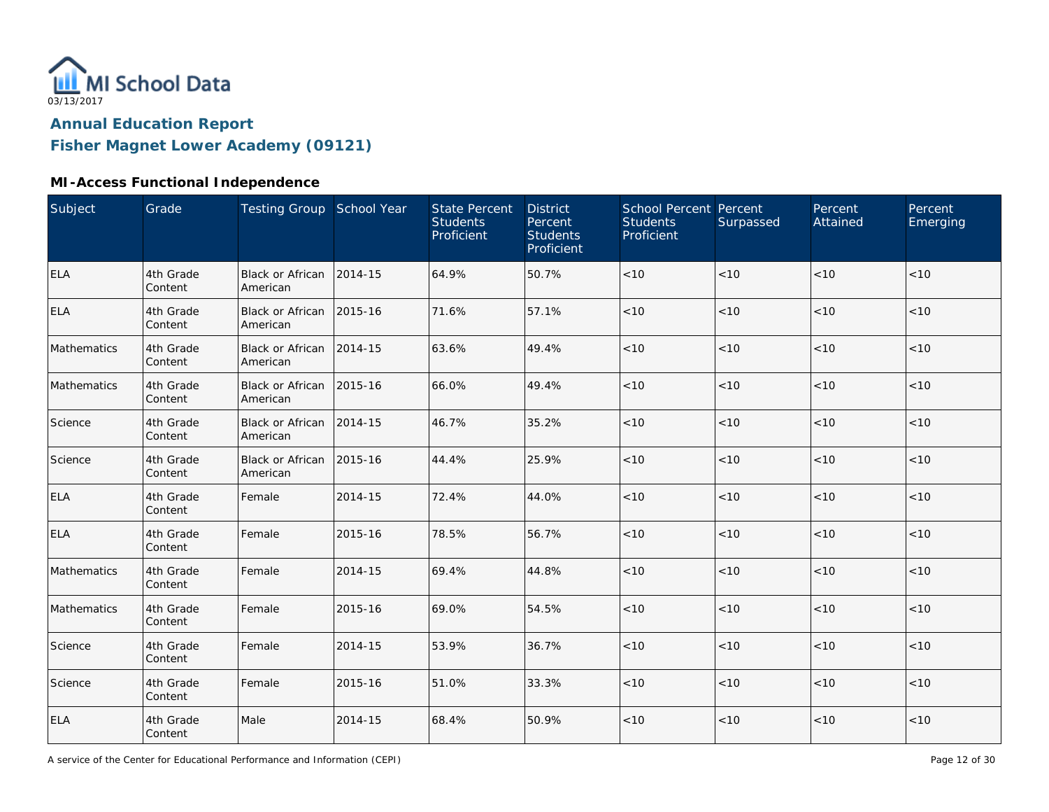

**Fisher Magnet Lower Academy (09121)**

## **MI-Access Functional Independence**

| Subject     | Grade                | Testing Group School Year            |         | <b>State Percent</b><br><b>Students</b><br>Proficient | <b>District</b><br>Percent<br><b>Students</b><br>Proficient | School Percent Percent<br><b>Students</b><br>Proficient | Surpassed | Percent<br>Attained | Percent<br>Emerging |
|-------------|----------------------|--------------------------------------|---------|-------------------------------------------------------|-------------------------------------------------------------|---------------------------------------------------------|-----------|---------------------|---------------------|
| <b>ELA</b>  | 4th Grade<br>Content | <b>Black or African</b><br>American  | 2014-15 | 64.9%                                                 | 50.7%                                                       | $<10$                                                   | < 10      | < 10                | < 10                |
| <b>ELA</b>  | 4th Grade<br>Content | Black or African 2015-16<br>American |         | 71.6%                                                 | 57.1%                                                       | $<10$                                                   | $<10$     | < 10                | < 10                |
| Mathematics | 4th Grade<br>Content | Black or African 2014-15<br>American |         | 63.6%                                                 | 49.4%                                                       | < 10                                                    | < 10      | < 10                | < 10                |
| Mathematics | 4th Grade<br>Content | Black or African 2015-16<br>American |         | 66.0%                                                 | 49.4%                                                       | < 10                                                    | < 10      | < 10                | < 10                |
| Science     | 4th Grade<br>Content | <b>Black or African</b><br>American  | 2014-15 | 46.7%                                                 | 35.2%                                                       | < 10                                                    | < 10      | < 10                | < 10                |
| Science     | 4th Grade<br>Content | <b>Black or African</b><br>American  | 2015-16 | 44.4%                                                 | 25.9%                                                       | < 10                                                    | < 10      | < 10                | < 10                |
| <b>ELA</b>  | 4th Grade<br>Content | Female                               | 2014-15 | 72.4%                                                 | 44.0%                                                       | < 10                                                    | < 10      | < 10                | < 10                |
| <b>ELA</b>  | 4th Grade<br>Content | Female                               | 2015-16 | 78.5%                                                 | 56.7%                                                       | $<10$                                                   | $<10$     | < 10                | < 10                |
| Mathematics | 4th Grade<br>Content | Female                               | 2014-15 | 69.4%                                                 | 44.8%                                                       | $<10$                                                   | $<10$     | <10                 | < 10                |
| Mathematics | 4th Grade<br>Content | Female                               | 2015-16 | 69.0%                                                 | 54.5%                                                       | $<10$                                                   | < 10      | < 10                | < 10                |
| Science     | 4th Grade<br>Content | Female                               | 2014-15 | 53.9%                                                 | 36.7%                                                       | < 10                                                    | < 10      | < 10                | < 10                |
| Science     | 4th Grade<br>Content | Female                               | 2015-16 | 51.0%                                                 | 33.3%                                                       | < 10                                                    | < 10      | < 10                | < 10                |
| <b>ELA</b>  | 4th Grade<br>Content | Male                                 | 2014-15 | 68.4%                                                 | 50.9%                                                       | $<10$                                                   | $<10$     | < 10                | < 10                |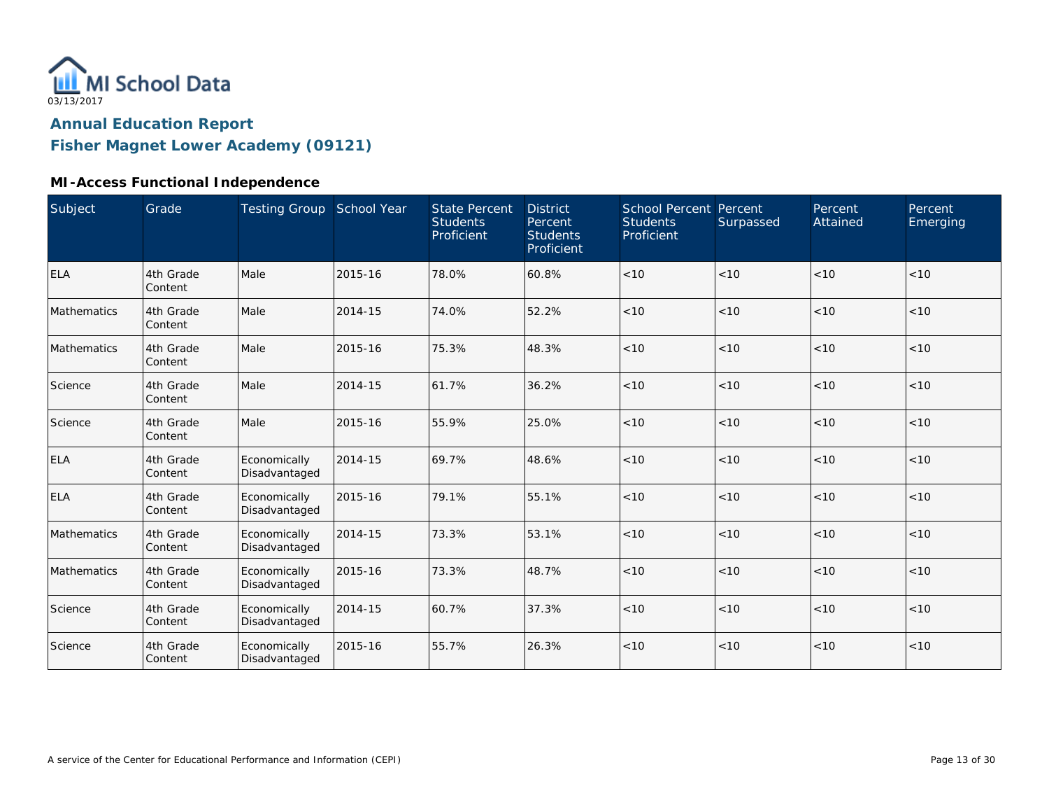

**Fisher Magnet Lower Academy (09121)**

## **MI-Access Functional Independence**

| Subject     | Grade                | Testing Group School Year     |         | <b>State Percent</b><br><b>Students</b><br>Proficient | <b>District</b><br>Percent<br><b>Students</b><br>Proficient | <b>School Percent Percent</b><br><b>Students</b><br>Proficient | Surpassed | Percent<br>Attained | Percent<br>Emerging |
|-------------|----------------------|-------------------------------|---------|-------------------------------------------------------|-------------------------------------------------------------|----------------------------------------------------------------|-----------|---------------------|---------------------|
| <b>ELA</b>  | 4th Grade<br>Content | Male                          | 2015-16 | 78.0%                                                 | 60.8%                                                       | < 10                                                           | <10       | < 10                | < 10                |
| Mathematics | 4th Grade<br>Content | Male                          | 2014-15 | 74.0%                                                 | 52.2%                                                       | < 10                                                           | < 10      | < 10                | < 10                |
| Mathematics | 4th Grade<br>Content | Male                          | 2015-16 | 75.3%                                                 | 48.3%                                                       | < 10                                                           | < 10      | < 10                | < 10                |
| Science     | 4th Grade<br>Content | Male                          | 2014-15 | 61.7%                                                 | 36.2%                                                       | < 10                                                           | < 10      | < 10                | < 10                |
| Science     | 4th Grade<br>Content | Male                          | 2015-16 | 55.9%                                                 | 25.0%                                                       | < 10                                                           | < 10      | < 10                | < 10                |
| ELA         | 4th Grade<br>Content | Economically<br>Disadvantaged | 2014-15 | 69.7%                                                 | 48.6%                                                       | < 10                                                           | < 10      | < 10                | < 10                |
| <b>ELA</b>  | 4th Grade<br>Content | Economically<br>Disadvantaged | 2015-16 | 79.1%                                                 | 55.1%                                                       | < 10                                                           | <10       | < 10                | < 10                |
| Mathematics | 4th Grade<br>Content | Economically<br>Disadvantaged | 2014-15 | 73.3%                                                 | 53.1%                                                       | < 10                                                           | < 10      | < 10                | < 10                |
| Mathematics | 4th Grade<br>Content | Economically<br>Disadvantaged | 2015-16 | 73.3%                                                 | 48.7%                                                       | < 10                                                           | < 10      | < 10                | < 10                |
| Science     | 4th Grade<br>Content | Economically<br>Disadvantaged | 2014-15 | 60.7%                                                 | 37.3%                                                       | < 10                                                           | < 10      | < 10                | < 10                |
| Science     | 4th Grade<br>Content | Economically<br>Disadvantaged | 2015-16 | 55.7%                                                 | 26.3%                                                       | < 10                                                           | < 10      | < 10                | < 10                |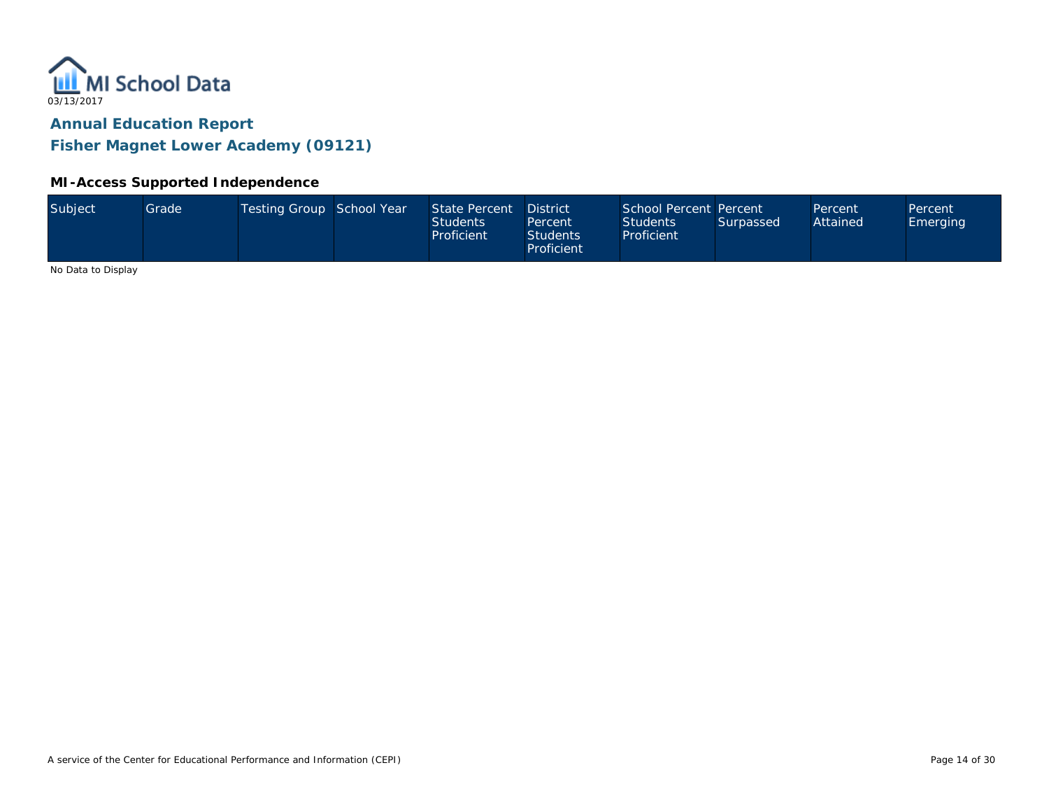

**Fisher Magnet Lower Academy (09121)**

### **MI-Access Supported Independence**

|  | Subject | Grade <sup>1</sup> | Testing Group School Year |  | State Percent<br>Students<br>Proficient | <b>District</b><br>Percent<br>Students<br>Proficient | School Percent Percent<br><b>Students</b><br>Proficient | Surpassed | Percent<br>Attained | Percent<br>Emerging |
|--|---------|--------------------|---------------------------|--|-----------------------------------------|------------------------------------------------------|---------------------------------------------------------|-----------|---------------------|---------------------|
|--|---------|--------------------|---------------------------|--|-----------------------------------------|------------------------------------------------------|---------------------------------------------------------|-----------|---------------------|---------------------|

No Data to Display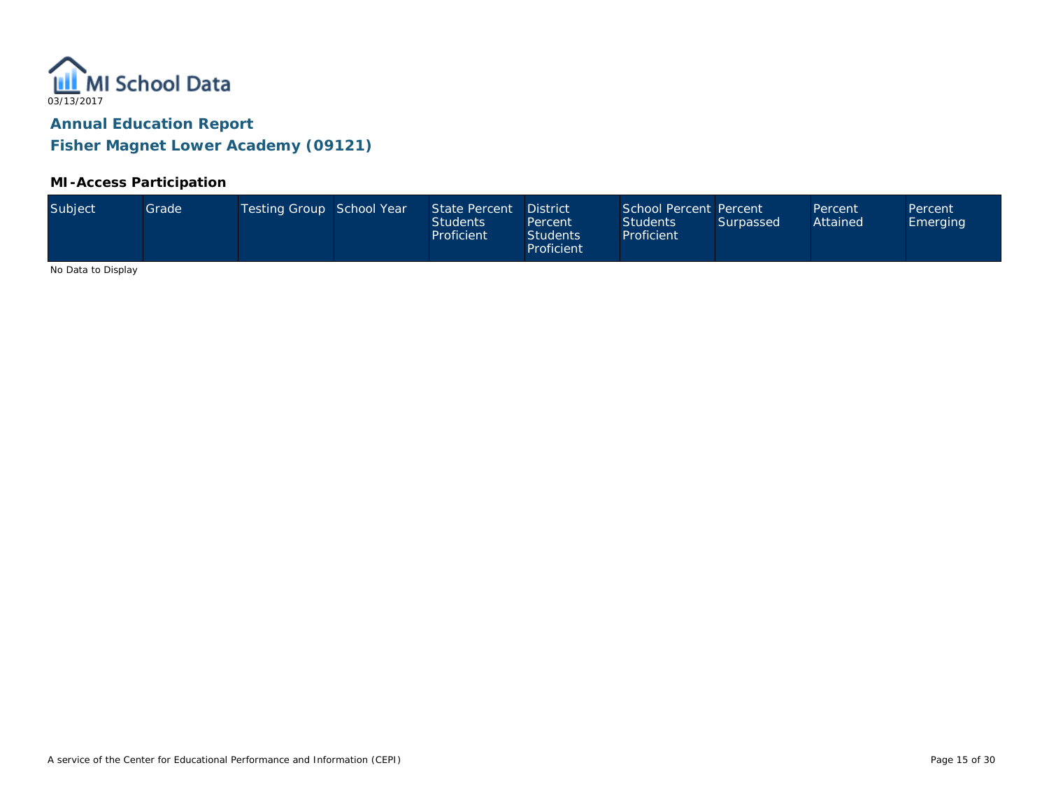

**Fisher Magnet Lower Academy (09121)**

### **MI-Access Participation**

| Subject<br>Testing Group School Year<br>State Percent<br>Grade<br><b>Students</b><br>Proficient | <b>District</b><br>Percent<br>Students<br>Proficient | School Percent Percent<br><b>Students</b><br>Surpassed<br>Proficient | Percent<br>Attained | Percent<br>Emerging |
|-------------------------------------------------------------------------------------------------|------------------------------------------------------|----------------------------------------------------------------------|---------------------|---------------------|
|-------------------------------------------------------------------------------------------------|------------------------------------------------------|----------------------------------------------------------------------|---------------------|---------------------|

No Data to Display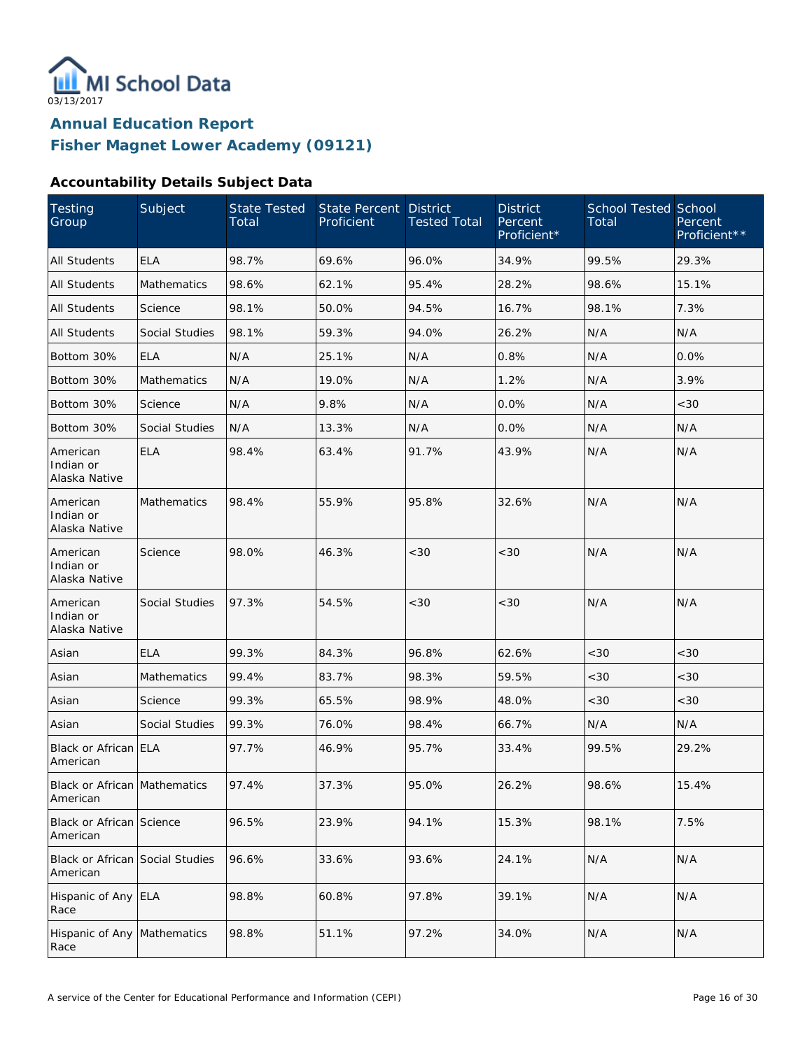

### **Accountability Details Subject Data**

| Testing<br>Group                            | Subject               | State Tested<br>Total | <b>State Percent</b><br>Proficient | <b>District</b><br><b>Tested Total</b> | <b>District</b><br>Percent<br>Proficient* | <b>School Tested School</b><br>Total | Percent<br>Proficient** |
|---------------------------------------------|-----------------------|-----------------------|------------------------------------|----------------------------------------|-------------------------------------------|--------------------------------------|-------------------------|
| <b>All Students</b>                         | <b>ELA</b>            | 98.7%                 | 69.6%                              | 96.0%                                  | 34.9%                                     | 99.5%                                | 29.3%                   |
| All Students                                | Mathematics           | 98.6%                 | 62.1%                              | 95.4%                                  | 28.2%                                     | 98.6%                                | 15.1%                   |
| All Students                                | Science               | 98.1%                 | 50.0%                              | 94.5%                                  | 16.7%                                     | 98.1%                                | 7.3%                    |
| All Students                                | <b>Social Studies</b> | 98.1%                 | 59.3%                              | 94.0%                                  | 26.2%                                     | N/A                                  | N/A                     |
| Bottom 30%                                  | <b>ELA</b>            | N/A                   | 25.1%                              | N/A                                    | 0.8%                                      | N/A                                  | 0.0%                    |
| Bottom 30%                                  | Mathematics           | N/A                   | 19.0%                              | N/A                                    | 1.2%                                      | N/A                                  | 3.9%                    |
| Bottom 30%                                  | Science               | N/A                   | 9.8%                               | N/A                                    | 0.0%                                      | N/A                                  | <30                     |
| Bottom 30%                                  | Social Studies        | N/A                   | 13.3%                              | N/A                                    | 0.0%                                      | N/A                                  | N/A                     |
| American<br>Indian or<br>Alaska Native      | <b>ELA</b>            | 98.4%                 | 63.4%                              | 91.7%                                  | 43.9%                                     | N/A                                  | N/A                     |
| American<br>Indian or<br>Alaska Native      | <b>Mathematics</b>    | 98.4%                 | 55.9%                              | 95.8%                                  | 32.6%                                     | N/A                                  | N/A                     |
| American<br>Indian or<br>Alaska Native      | Science               | 98.0%                 | 46.3%                              | <30                                    | <30                                       | N/A                                  | N/A                     |
| American<br>Indian or<br>Alaska Native      | Social Studies        | 97.3%                 | 54.5%                              | <30                                    | < 30                                      | N/A                                  | N/A                     |
| Asian                                       | <b>ELA</b>            | 99.3%                 | 84.3%                              | 96.8%                                  | 62.6%                                     | < 30                                 | <30                     |
| Asian                                       | <b>Mathematics</b>    | 99.4%                 | 83.7%                              | 98.3%                                  | 59.5%                                     | < 30                                 | <30                     |
| Asian                                       | Science               | 99.3%                 | 65.5%                              | 98.9%                                  | 48.0%                                     | < 30                                 | < 30                    |
| Asian                                       | Social Studies        | 99.3%                 | 76.0%                              | 98.4%                                  | 66.7%                                     | N/A                                  | N/A                     |
| Black or African ELA<br>American            |                       | 97.7%                 | 46.9%                              | 95.7%                                  | 33.4%                                     | 99.5%                                | 29.2%                   |
| Black or African Mathematics<br>American    |                       | 97.4%                 | 37.3%                              | 95.0%                                  | 26.2%                                     | 98.6%                                | 15.4%                   |
| Black or African Science<br>American        |                       | 96.5%                 | 23.9%                              | 94.1%                                  | 15.3%                                     | 98.1%                                | 7.5%                    |
| Black or African Social Studies<br>American |                       | 96.6%                 | 33.6%                              | 93.6%                                  | 24.1%                                     | N/A                                  | N/A                     |
| Hispanic of Any ELA<br>Race                 |                       | 98.8%                 | 60.8%                              | 97.8%                                  | 39.1%                                     | N/A                                  | N/A                     |
| Hispanic of Any<br>Race                     | Mathematics           | 98.8%                 | 51.1%                              | 97.2%                                  | 34.0%                                     | N/A                                  | N/A                     |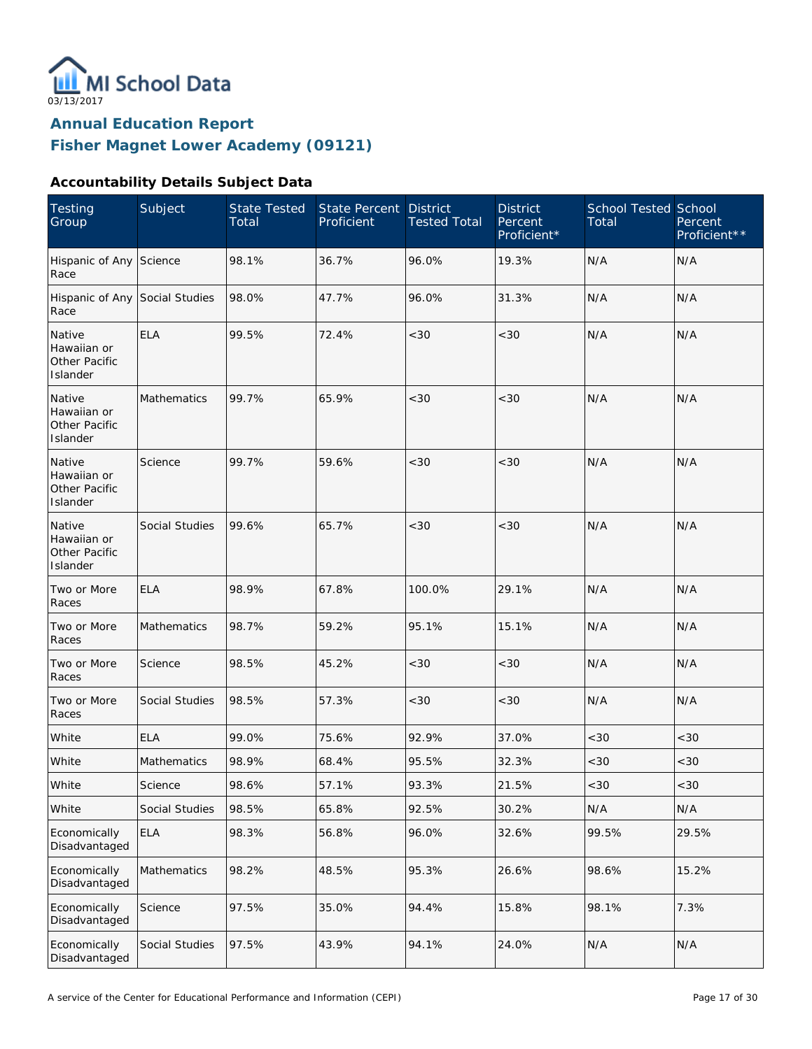

## **Accountability Details Subject Data**

| <b>Testing</b><br>Group                            | Subject        | <b>State Tested</b><br>Total | State Percent<br>Proficient | <b>District</b><br><b>Tested Total</b> | <b>District</b><br>Percent<br>Proficient* | <b>School Tested School</b><br>Total | Percent<br>Proficient** |
|----------------------------------------------------|----------------|------------------------------|-----------------------------|----------------------------------------|-------------------------------------------|--------------------------------------|-------------------------|
| Hispanic of Any Science<br>Race                    |                | 98.1%                        | 36.7%                       | 96.0%                                  | 19.3%                                     | N/A                                  | N/A                     |
| Hispanic of Any Social Studies<br>Race             |                | 98.0%                        | 47.7%                       | 96.0%                                  | 31.3%                                     | N/A                                  | N/A                     |
| Native<br>Hawaiian or<br>Other Pacific<br>Islander | <b>ELA</b>     | 99.5%                        | 72.4%                       | <30                                    | < 30                                      | N/A                                  | N/A                     |
| Native<br>Hawaiian or<br>Other Pacific<br>Islander | Mathematics    | 99.7%                        | 65.9%                       | <30                                    | < 30                                      | N/A                                  | N/A                     |
| Native<br>Hawaiian or<br>Other Pacific<br>Islander | Science        | 99.7%                        | 59.6%                       | <30                                    | < 30                                      | N/A                                  | N/A                     |
| Native<br>Hawaiian or<br>Other Pacific<br>Islander | Social Studies | 99.6%                        | 65.7%                       | <30                                    | < 30                                      | N/A                                  | N/A                     |
| Two or More<br>Races                               | <b>ELA</b>     | 98.9%                        | 67.8%                       | 100.0%                                 | 29.1%                                     | N/A                                  | N/A                     |
| Two or More<br>Races                               | Mathematics    | 98.7%                        | 59.2%                       | 95.1%                                  | 15.1%                                     | N/A                                  | N/A                     |
| Two or More<br>Races                               | Science        | 98.5%                        | 45.2%                       | <30                                    | < 30                                      | N/A                                  | N/A                     |
| Two or More<br>Races                               | Social Studies | 98.5%                        | 57.3%                       | <30                                    | < 30                                      | N/A                                  | N/A                     |
| White                                              | <b>ELA</b>     | 99.0%                        | 75.6%                       | 92.9%                                  | 37.0%                                     | <30                                  | <30                     |
| White                                              | Mathematics    | 98.9%                        | 68.4%                       | 95.5%                                  | 32.3%                                     | <30                                  | $<30$                   |
| White                                              | Science        | 98.6%                        | 57.1%                       | 93.3%                                  | 21.5%                                     | <30                                  | $<30$                   |
| White                                              | Social Studies | 98.5%                        | 65.8%                       | 92.5%                                  | 30.2%                                     | N/A                                  | N/A                     |
| Economically<br>Disadvantaged                      | <b>ELA</b>     | 98.3%                        | 56.8%                       | 96.0%                                  | 32.6%                                     | 99.5%                                | 29.5%                   |
| Economically<br>Disadvantaged                      | Mathematics    | 98.2%                        | 48.5%                       | 95.3%                                  | 26.6%                                     | 98.6%                                | 15.2%                   |
| Economically<br>Disadvantaged                      | Science        | 97.5%                        | 35.0%                       | 94.4%                                  | 15.8%                                     | 98.1%                                | 7.3%                    |
| Economically<br>Disadvantaged                      | Social Studies | 97.5%                        | 43.9%                       | 94.1%                                  | 24.0%                                     | N/A                                  | N/A                     |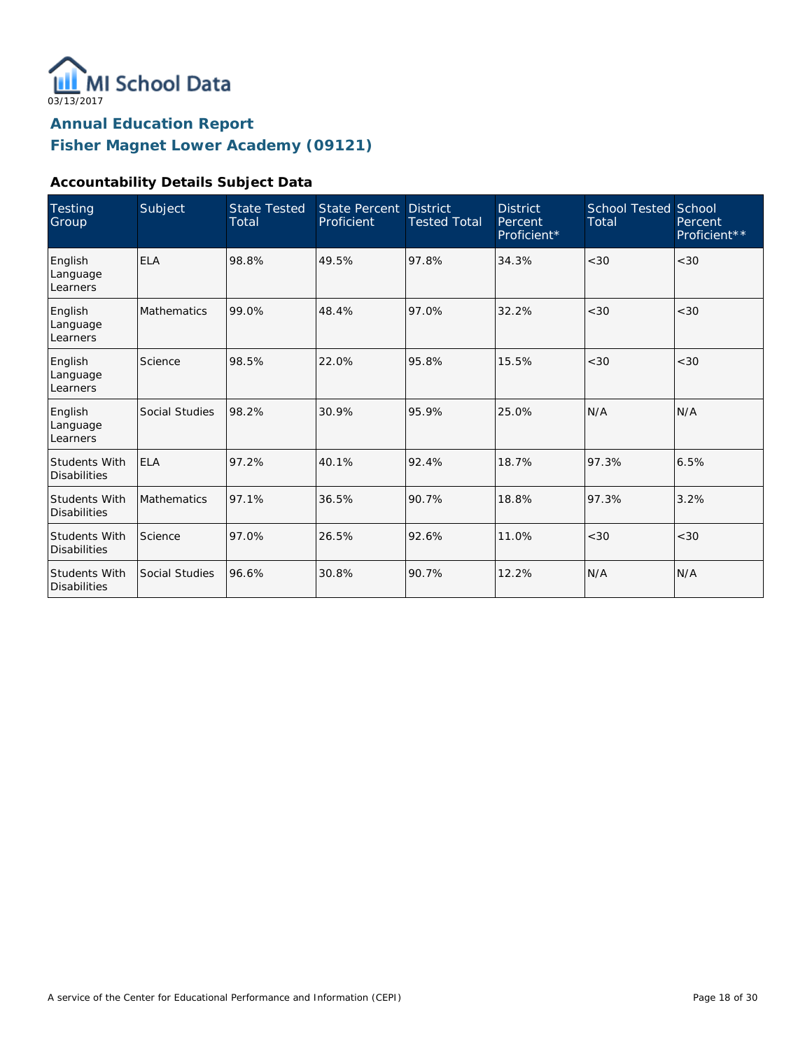

## **Accountability Details Subject Data**

| Testing<br>Group                            | Subject            | <b>State Tested</b><br>Total | <b>State Percent</b><br>Proficient | <b>District</b><br><b>Tested Total</b> | <b>District</b><br>Percent<br>Proficient* | <b>School Tested School</b><br>Total | Percent<br>Proficient <sup>**</sup> |
|---------------------------------------------|--------------------|------------------------------|------------------------------------|----------------------------------------|-------------------------------------------|--------------------------------------|-------------------------------------|
| English<br>Language<br>Learners             | <b>ELA</b>         | 98.8%                        | 49.5%                              | 97.8%                                  | 34.3%                                     | < 30                                 | <30                                 |
| English<br>Language<br>Learners             | <b>Mathematics</b> | 99.0%                        | 48.4%                              | 97.0%                                  | 32.2%                                     | < 30                                 | < 30                                |
| English<br>Language<br>Learners             | Science            | 98.5%                        | 22.0%                              | 95.8%                                  | 15.5%                                     | <30                                  | <30                                 |
| English<br>Language<br>Learners             | Social Studies     | 98.2%                        | 30.9%                              | 95.9%                                  | 25.0%                                     | N/A                                  | N/A                                 |
| <b>Students With</b><br><b>Disabilities</b> | <b>ELA</b>         | 97.2%                        | 40.1%                              | 92.4%                                  | 18.7%                                     | 97.3%                                | 6.5%                                |
| <b>Students With</b><br><b>Disabilities</b> | <b>Mathematics</b> | 97.1%                        | 36.5%                              | 90.7%                                  | 18.8%                                     | 97.3%                                | 3.2%                                |
| <b>Students With</b><br><b>Disabilities</b> | Science            | 97.0%                        | 26.5%                              | 92.6%                                  | 11.0%                                     | < 30                                 | <30                                 |
| <b>Students With</b><br><b>Disabilities</b> | Social Studies     | 96.6%                        | 30.8%                              | 90.7%                                  | 12.2%                                     | N/A                                  | N/A                                 |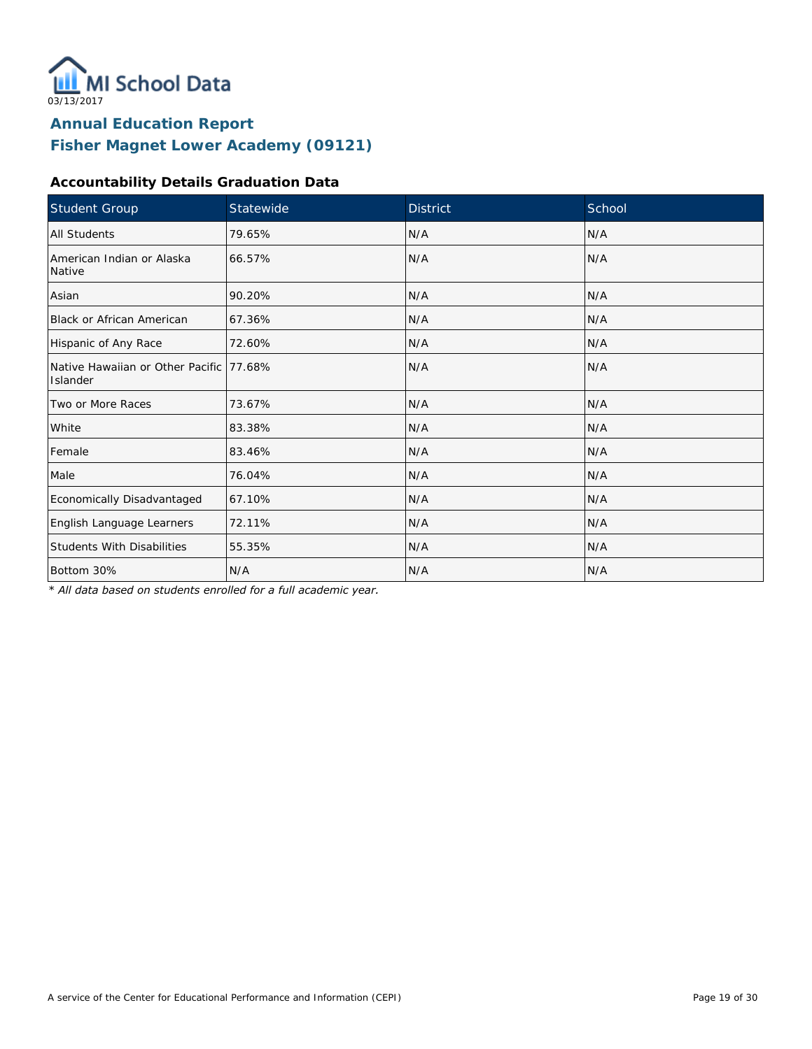

## **Accountability Details Graduation Data**

| Student Group                                        | Statewide | <b>District</b> | School |
|------------------------------------------------------|-----------|-----------------|--------|
| All Students                                         | 79.65%    | N/A             | N/A    |
| American Indian or Alaska<br>Native                  | 66.57%    | N/A             | N/A    |
| Asian                                                | 90.20%    | N/A             | N/A    |
| Black or African American                            | 67.36%    | N/A             | N/A    |
| Hispanic of Any Race                                 | 72.60%    | N/A             | N/A    |
| Native Hawaiian or Other Pacific 177.68%<br>Islander |           | N/A             | N/A    |
| Two or More Races                                    | 73.67%    | N/A             | N/A    |
| White                                                | 83.38%    | N/A             | N/A    |
| Female                                               | 83.46%    | N/A             | N/A    |
| Male                                                 | 76.04%    | N/A             | N/A    |
| Economically Disadvantaged                           | 67.10%    | N/A             | N/A    |
| English Language Learners                            | 72.11%    | N/A             | N/A    |
| <b>Students With Disabilities</b>                    | 55.35%    | N/A             | N/A    |
| Bottom 30%                                           | N/A       | N/A             | N/A    |

*\* All data based on students enrolled for a full academic year.*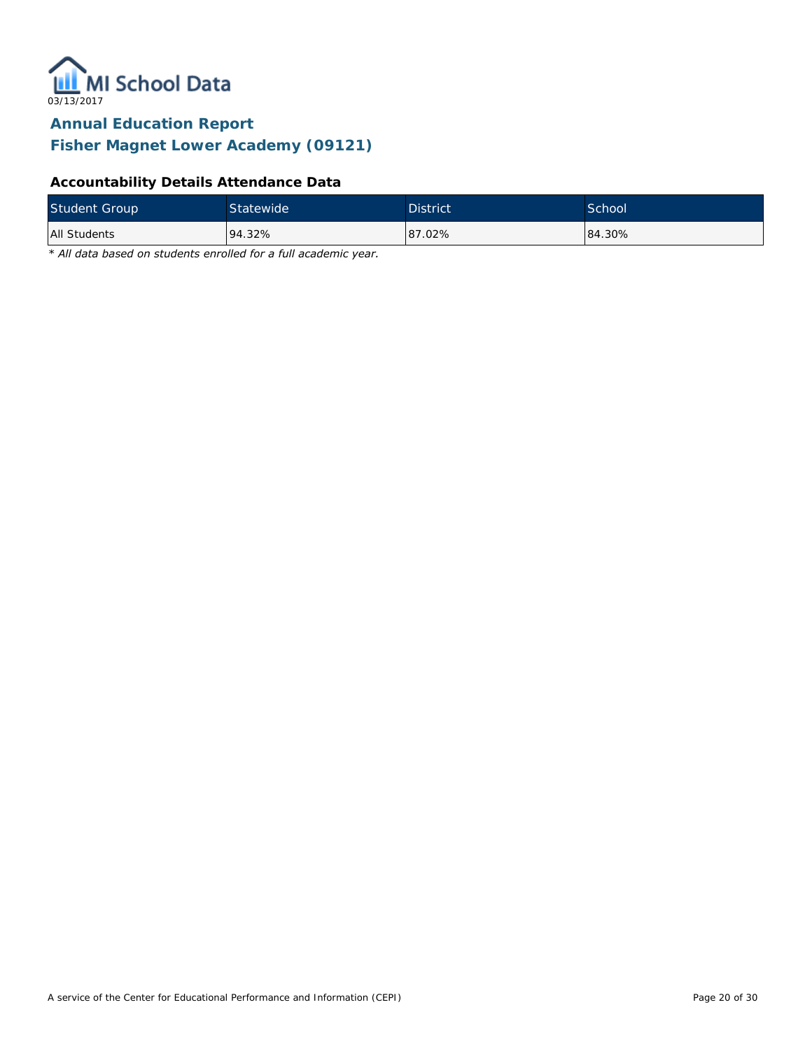

**Fisher Magnet Lower Academy (09121)**

### **Accountability Details Attendance Data**

| Student Group | Statewide | <b>District</b> | School <sup>1</sup> |
|---------------|-----------|-----------------|---------------------|
| All Students  | 94.32%    | 87.02%          | 84.30%              |

*\* All data based on students enrolled for a full academic year.*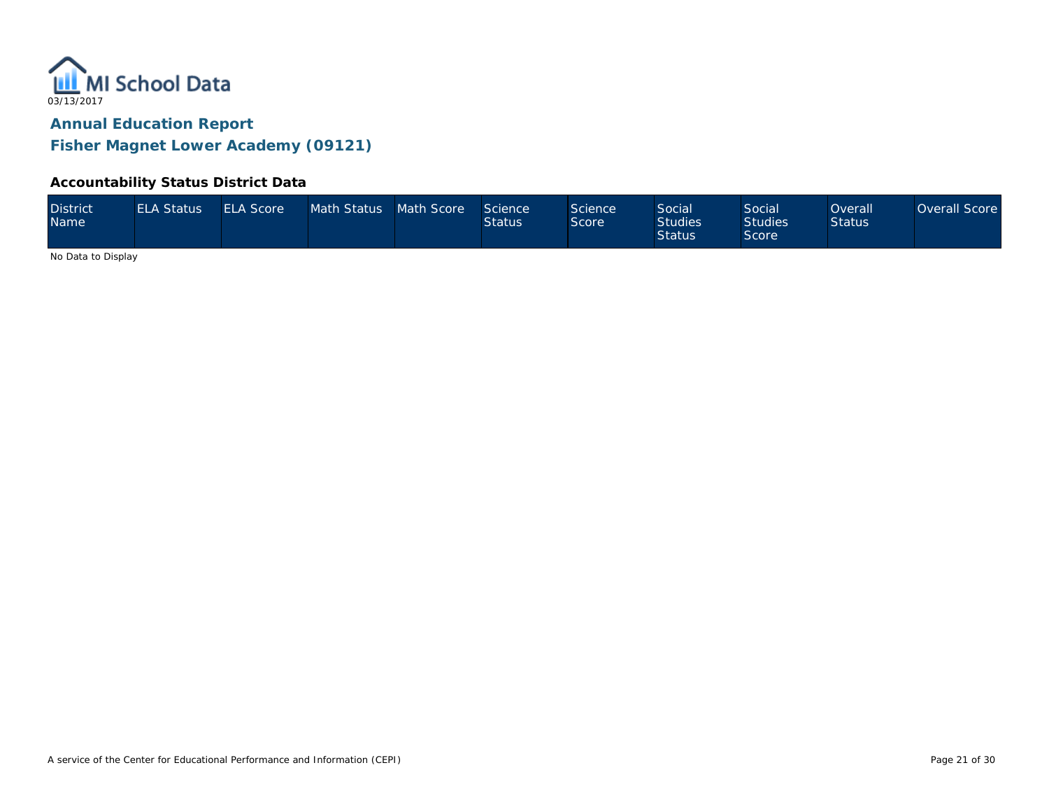

**Fisher Magnet Lower Academy (09121)**

### **Accountability Status District Data**

| <b>District</b><br><b>Name</b> | <b>ELA Status</b> | <b>ELA Score</b> | Math Status Math Score |  | Science<br><b>Status</b> | Science<br>Score | Social<br><b>Studies</b><br><b>Status</b> | Social<br>Studies <sup>1</sup><br>Score | Overall <sup>1</sup><br><b>Status</b> | Overall Score |
|--------------------------------|-------------------|------------------|------------------------|--|--------------------------|------------------|-------------------------------------------|-----------------------------------------|---------------------------------------|---------------|
|--------------------------------|-------------------|------------------|------------------------|--|--------------------------|------------------|-------------------------------------------|-----------------------------------------|---------------------------------------|---------------|

No Data to Display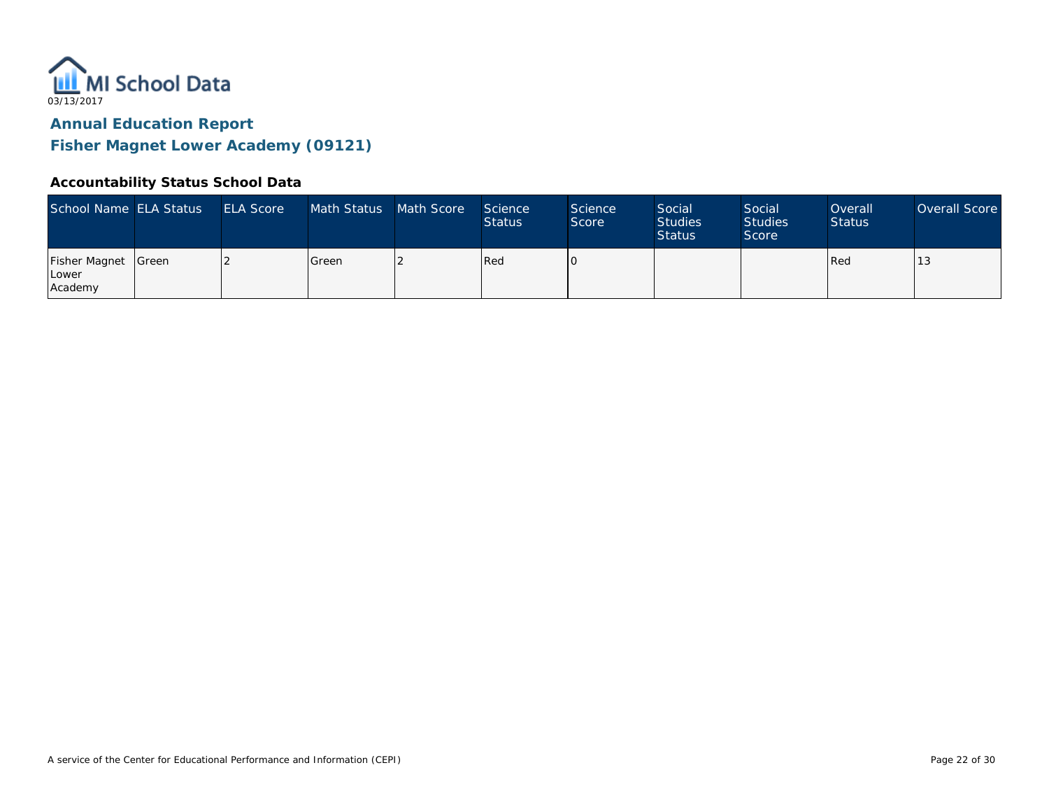

**Fisher Magnet Lower Academy (09121)**

### **Accountability Status School Data**

| School Name ELA Status            |               | <b>ELA Score</b> | Math Status | Math Score | <b>Science</b><br><b>Status</b> | <b>Science</b><br>Score | Social<br><b>Studies</b><br><b>Status</b> | Social<br><b>Studies</b><br>Score | Overall<br><b>Status</b> | Overall Score |
|-----------------------------------|---------------|------------------|-------------|------------|---------------------------------|-------------------------|-------------------------------------------|-----------------------------------|--------------------------|---------------|
| Fisher Magnet<br>Lower<br>Academy | <b>S</b> reen |                  | l Green     |            | <b>Red</b>                      |                         |                                           |                                   | Red                      |               |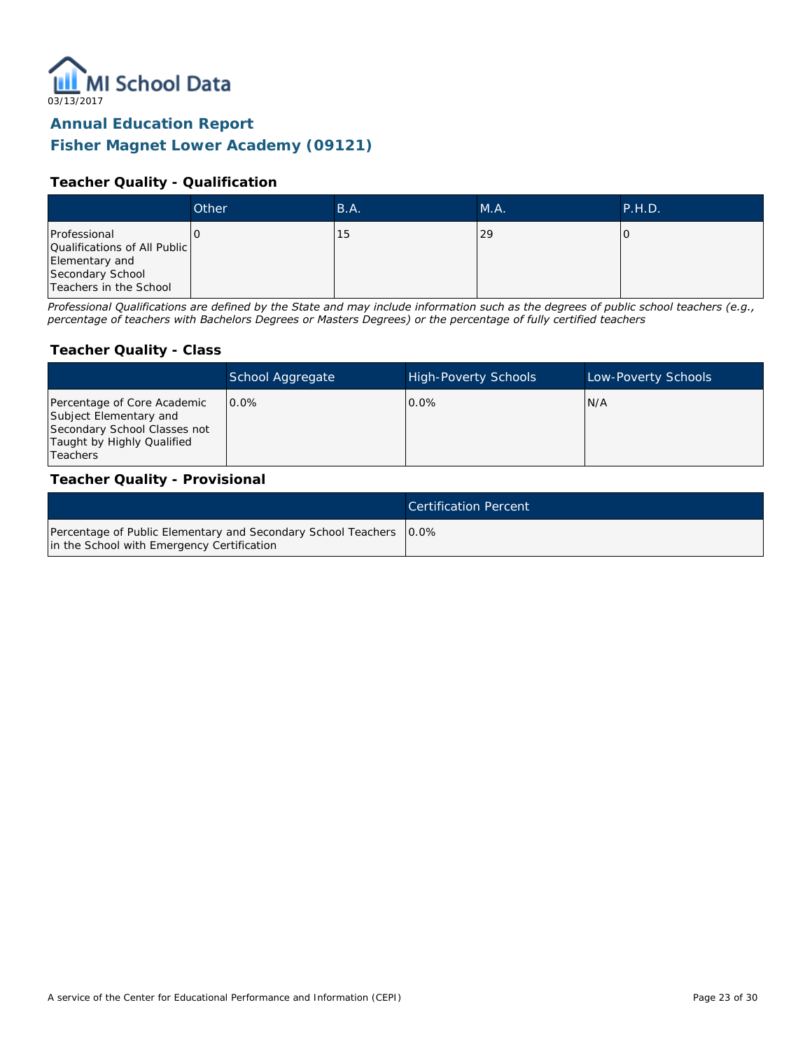

## **Fisher Magnet Lower Academy (09121)**

#### **Teacher Quality - Qualification**

|                                                                                                              | Other | B.A. | MA. | P.H.D. |
|--------------------------------------------------------------------------------------------------------------|-------|------|-----|--------|
| Professional<br>Qualifications of All Public<br>Elementary and<br>Secondary School<br>Teachers in the School |       | 15   | 29  |        |

*Professional Qualifications are defined by the State and may include information such as the degrees of public school teachers (e.g., percentage of teachers with Bachelors Degrees or Masters Degrees) or the percentage of fully certified teachers*

#### **Teacher Quality - Class**

|                                                                                                                                        | School Aggregate | <b>High-Poverty Schools</b> | Low-Poverty Schools |
|----------------------------------------------------------------------------------------------------------------------------------------|------------------|-----------------------------|---------------------|
| Percentage of Core Academic<br>Subject Elementary and<br>Secondary School Classes not<br>Taught by Highly Qualified<br><b>Teachers</b> | $0.0\%$          | $0.0\%$                     | IN/A                |

#### **Teacher Quality - Provisional**

|                                                                                                                    | Certification Percent |
|--------------------------------------------------------------------------------------------------------------------|-----------------------|
| Percentage of Public Elementary and Secondary School Teachers   0.0%<br>in the School with Emergency Certification |                       |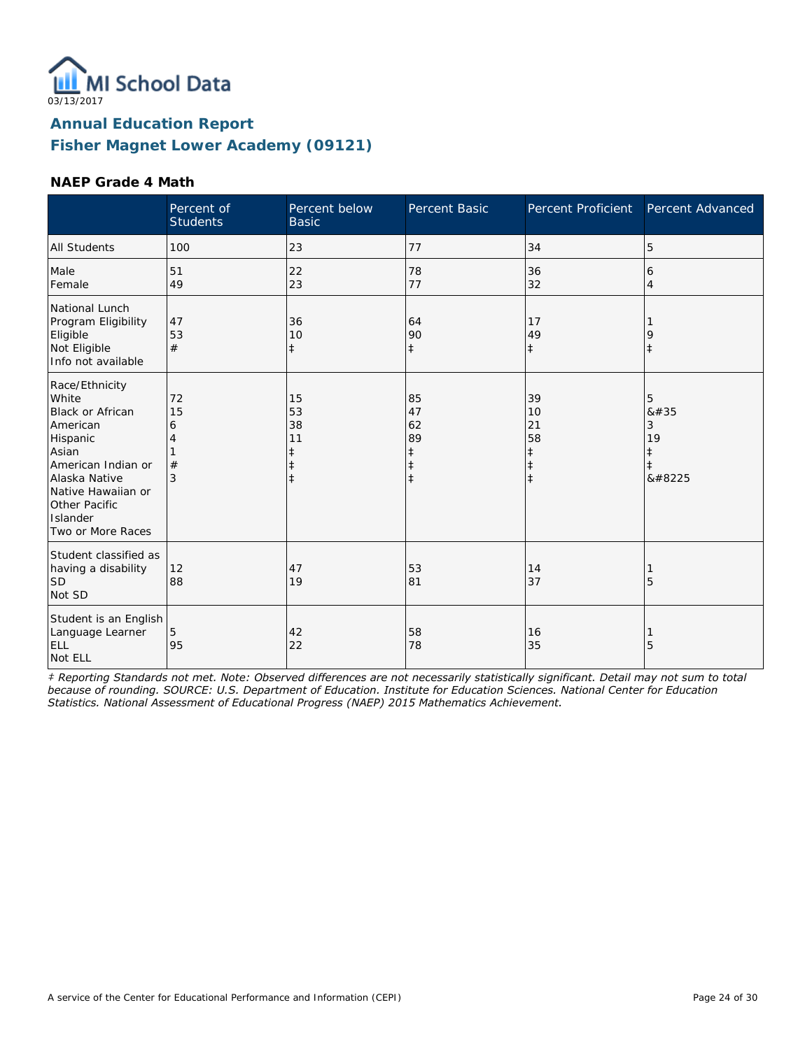

### **NAEP Grade 4 Math**

|                                                                                                                                                                                                    | Percent of<br><b>Students</b> | Percent below<br><b>Basic</b>                                  | Percent Basic                                         | Percent Proficient                                             | Percent Advanced                                   |
|----------------------------------------------------------------------------------------------------------------------------------------------------------------------------------------------------|-------------------------------|----------------------------------------------------------------|-------------------------------------------------------|----------------------------------------------------------------|----------------------------------------------------|
| <b>All Students</b>                                                                                                                                                                                | 100                           | 23                                                             | 77                                                    | 34                                                             | 5                                                  |
| Male<br>Female                                                                                                                                                                                     | 51<br>49                      | 22<br>23                                                       | 78<br>77                                              | 36<br>32                                                       | 6<br>4                                             |
| National Lunch<br>Program Eligibility<br>Eligible<br>Not Eligible<br>Info not available                                                                                                            | 47<br>53<br>#                 | 36<br>10<br>$\ddagger$                                         | 64<br>90<br>$\ddagger$                                | 17<br>49<br>$\ddagger$                                         | 9<br>$\ddagger$                                    |
| Race/Ethnicity<br>White<br><b>Black or African</b><br>American<br>Hispanic<br>Asian<br>American Indian or<br>Alaska Native<br>Native Hawaiian or<br>Other Pacific<br>Islander<br>Two or More Races | 72<br>15<br>6<br>4<br>#<br>3  | 15<br>53<br>38<br>11<br>$\ddagger$<br>$\ddagger$<br>$\ddagger$ | 85<br>47<br>62<br>89<br>ŧ<br>$\ddagger$<br>$\ddagger$ | 39<br>10<br>21<br>58<br>$\ddagger$<br>$\ddagger$<br>$\ddagger$ | 5<br>#<br>3<br>19<br>$\ddagger$<br>$\ddagger$<br>‡ |
| Student classified as<br>having a disability<br><b>SD</b><br>Not SD                                                                                                                                | 12<br>88                      | 47<br>19                                                       | 53<br>81                                              | 14<br>37                                                       | 5                                                  |
| Student is an English<br>Language Learner<br>ELL<br>Not ELL                                                                                                                                        | 5<br>95                       | 42<br>22                                                       | 58<br>78                                              | 16<br>35                                                       | 5                                                  |

*‡ Reporting Standards not met. Note: Observed differences are not necessarily statistically significant. Detail may not sum to total because of rounding. SOURCE: U.S. Department of Education. Institute for Education Sciences. National Center for Education Statistics. National Assessment of Educational Progress (NAEP) 2015 Mathematics Achievement.*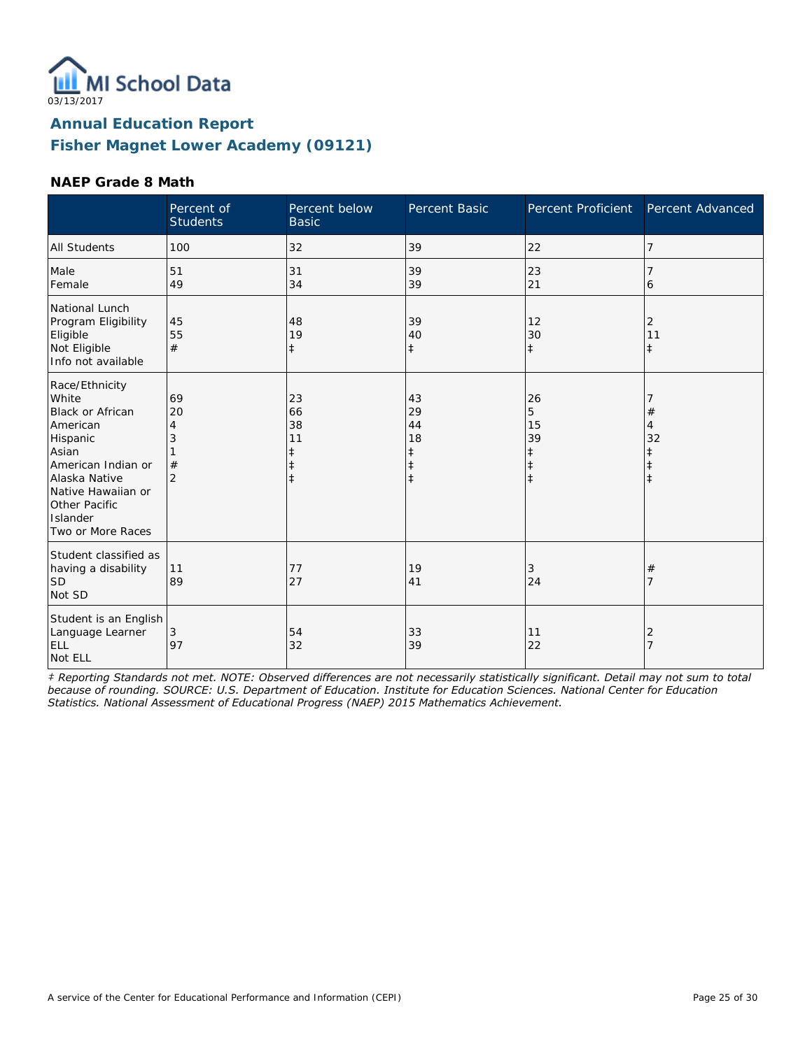

### **NAEP Grade 8 Math**

|                                                                                                                                                                                                    | Percent of<br><b>Students</b>             | Percent below<br><b>Basic</b>                         | Percent Basic                                         | Percent Proficient                     | Percent Advanced               |
|----------------------------------------------------------------------------------------------------------------------------------------------------------------------------------------------------|-------------------------------------------|-------------------------------------------------------|-------------------------------------------------------|----------------------------------------|--------------------------------|
| <b>All Students</b>                                                                                                                                                                                | 100                                       | 32                                                    | 39                                                    | 22                                     | 7                              |
| Male<br>Female                                                                                                                                                                                     | 51<br>49                                  | 31<br>34                                              | 39<br>39                                              | 23<br>21                               | 6                              |
| National Lunch<br>Program Eligibility<br>Eligible<br>Not Eligible<br>Info not available                                                                                                            | 45<br>55<br>#                             | 48<br>19<br>$\ddagger$                                | 39<br>40<br>$\ddagger$                                | 12<br>30<br>$\ddagger$                 | 2<br>11<br>$\ddagger$          |
| Race/Ethnicity<br>White<br><b>Black or African</b><br>American<br>Hispanic<br>Asian<br>American Indian or<br>Alaska Native<br>Native Hawaiian or<br>Other Pacific<br>Islander<br>Two or More Races | 69<br>20<br>4<br>3<br>#<br>$\overline{2}$ | 23<br>66<br>38<br>11<br>ŧ<br>$\ddagger$<br>$\ddagger$ | 43<br>29<br>44<br>18<br>ŧ<br>$\ddagger$<br>$\ddagger$ | 26<br>5<br>15<br>39<br>ŧ<br>$\ddagger$ | #<br>$\overline{4}$<br>32<br>ŧ |
| Student classified as<br>having a disability<br><b>SD</b><br>Not SD                                                                                                                                | 11<br>89                                  | 77<br>27                                              | 19<br>41                                              | 3<br>24                                | $^{\#}$<br>7                   |
| Student is an English<br>Language Learner<br>ELL<br>Not ELL                                                                                                                                        | 3<br>97                                   | 54<br>32                                              | 33<br>39                                              | 11<br>22                               | 2<br>$\overline{7}$            |

*‡ Reporting Standards not met. NOTE: Observed differences are not necessarily statistically significant. Detail may not sum to total because of rounding. SOURCE: U.S. Department of Education. Institute for Education Sciences. National Center for Education Statistics. National Assessment of Educational Progress (NAEP) 2015 Mathematics Achievement.*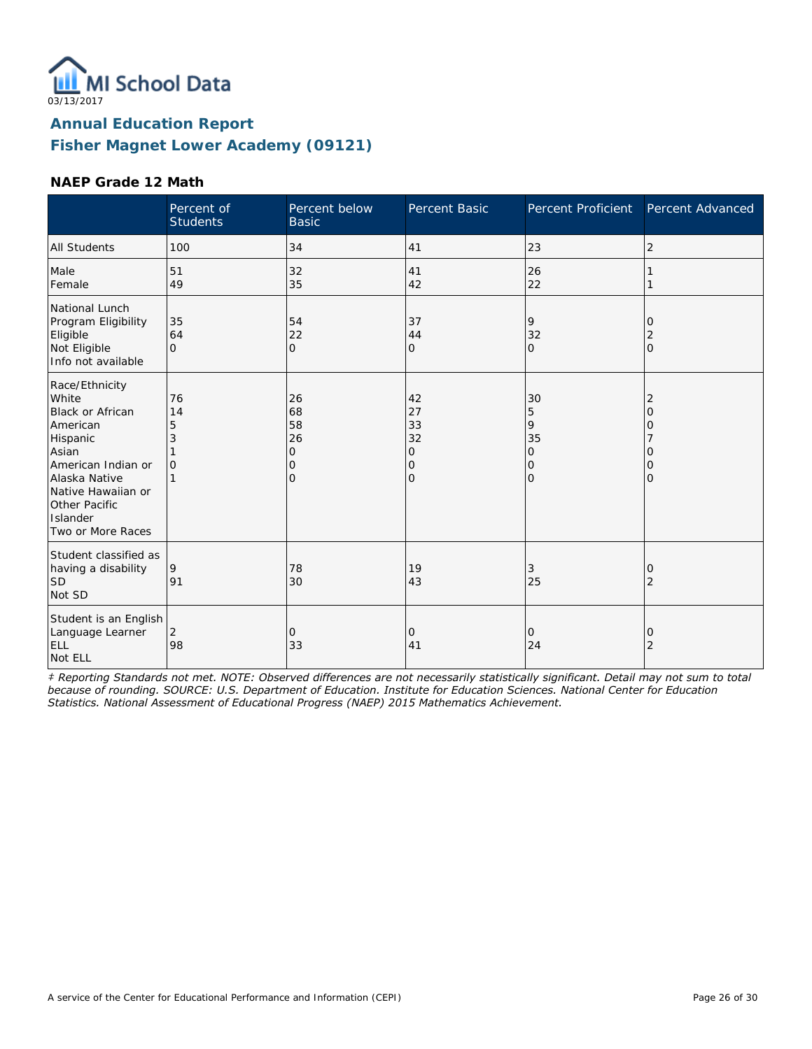

### **NAEP Grade 12 Math**

|                                                                                                                                                                                                    | Percent of<br><b>Students</b>        | Percent below<br><b>Basic</b>                 | Percent Basic                                           | Percent Proficient                                          | Percent Advanced                               |
|----------------------------------------------------------------------------------------------------------------------------------------------------------------------------------------------------|--------------------------------------|-----------------------------------------------|---------------------------------------------------------|-------------------------------------------------------------|------------------------------------------------|
| <b>All Students</b>                                                                                                                                                                                | 100                                  | 34                                            | 41                                                      | 23                                                          | $\overline{2}$                                 |
| Male<br>Female                                                                                                                                                                                     | 51<br>49                             | 32<br>35                                      | 41<br>42                                                | 26<br>22                                                    |                                                |
| National Lunch<br>Program Eligibility<br>Eligible<br>Not Eligible<br>Info not available                                                                                                            | 35<br>64<br>$\Omega$                 | 54<br>22<br>$\overline{O}$                    | 37<br>44<br>$\overline{O}$                              | 9<br>32<br>$\mathbf{O}$                                     | 0<br>$\overline{2}$<br>$\overline{O}$          |
| Race/Ethnicity<br>White<br><b>Black or African</b><br>American<br>Hispanic<br>Asian<br>American Indian or<br>Alaska Native<br>Native Hawaiian or<br>Other Pacific<br>Islander<br>Two or More Races | 76<br>14<br>5<br>3<br>$\overline{O}$ | 26<br>68<br>58<br>26<br>$\mathbf 0$<br>0<br>0 | 42<br>27<br>33<br>32<br>0<br>$\mathbf 0$<br>$\mathbf 0$ | 30<br>5<br>9<br>35<br>$\overline{O}$<br>0<br>$\overline{O}$ | 2<br>$\overline{O}$<br>0<br>Ω<br>0<br>$\Omega$ |
| Student classified as<br>having a disability<br><b>SD</b><br>Not SD                                                                                                                                | 9<br>91                              | 78<br>30                                      | 19<br>43                                                | 3<br>25                                                     | 0<br>$\overline{2}$                            |
| Student is an English<br>Language Learner<br><b>ELL</b><br>Not ELL                                                                                                                                 | 2<br>98                              | 0<br>33                                       | 0<br>41                                                 | 0<br>24                                                     | 0<br>$\overline{2}$                            |

*‡ Reporting Standards not met. NOTE: Observed differences are not necessarily statistically significant. Detail may not sum to total because of rounding. SOURCE: U.S. Department of Education. Institute for Education Sciences. National Center for Education Statistics. National Assessment of Educational Progress (NAEP) 2015 Mathematics Achievement.*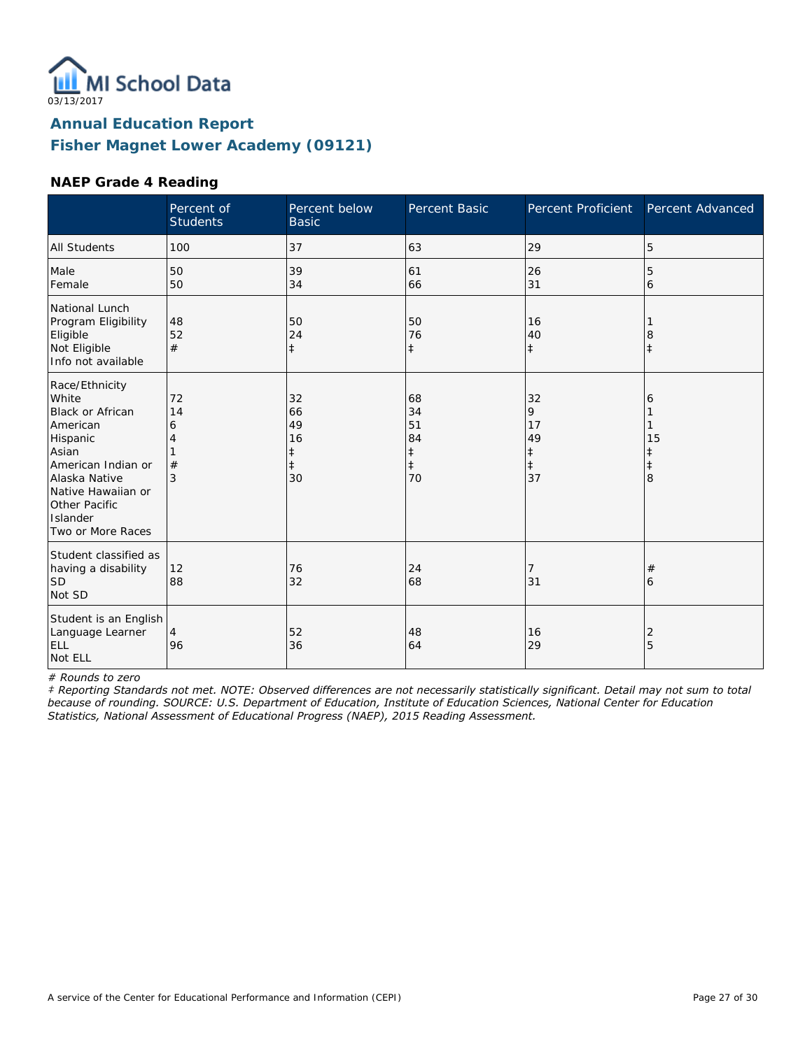

### **NAEP Grade 4 Reading**

|                                                                                                                                                                                                    | Percent of<br><b>Students</b> | Percent below<br><b>Basic</b>                 | Percent Basic                                          | <b>Percent Proficient</b>                    | Percent Advanced                |
|----------------------------------------------------------------------------------------------------------------------------------------------------------------------------------------------------|-------------------------------|-----------------------------------------------|--------------------------------------------------------|----------------------------------------------|---------------------------------|
| <b>All Students</b>                                                                                                                                                                                | 100                           | 37                                            | 63                                                     | 29                                           | 5                               |
| Male<br>Female                                                                                                                                                                                     | 50<br>50                      | 39<br>34                                      | 61<br>66                                               | 26<br>31                                     | 5<br>6                          |
| National Lunch<br>Program Eligibility<br>Eligible<br>Not Eligible<br>Info not available                                                                                                            | 48<br>52<br>#                 | 50<br>24<br>$\ddagger$                        | 50<br>76<br>$\ddagger$                                 | 16<br>40<br>$\ddagger$                       | 8                               |
| Race/Ethnicity<br>White<br><b>Black or African</b><br>American<br>Hispanic<br>Asian<br>American Indian or<br>Alaska Native<br>Native Hawaiian or<br>Other Pacific<br>Islander<br>Two or More Races | 72<br>14<br>6<br>4<br>#<br>3  | 32<br>66<br>49<br>16<br>ŧ<br>$\ddagger$<br>30 | 68<br>34<br>51<br>84<br>$\ddagger$<br>$\ddagger$<br>70 | 32<br>9<br>17<br>49<br>‡<br>$\ddagger$<br>37 | 6<br>15<br>ŧ<br>$\ddagger$<br>8 |
| Student classified as<br>having a disability<br><b>SD</b><br>Not SD                                                                                                                                | 12<br>88                      | 76<br>32                                      | 24<br>68                                               | 7<br>31                                      | #<br>6                          |
| Student is an English<br>Language Learner<br>ELL<br>Not ELL                                                                                                                                        | 4<br>96                       | 52<br>36                                      | 48<br>64                                               | 16<br>29                                     | 2<br>5                          |

*# Rounds to zero*

*‡ Reporting Standards not met. NOTE: Observed differences are not necessarily statistically significant. Detail may not sum to total because of rounding. SOURCE: U.S. Department of Education, Institute of Education Sciences, National Center for Education Statistics, National Assessment of Educational Progress (NAEP), 2015 Reading Assessment.*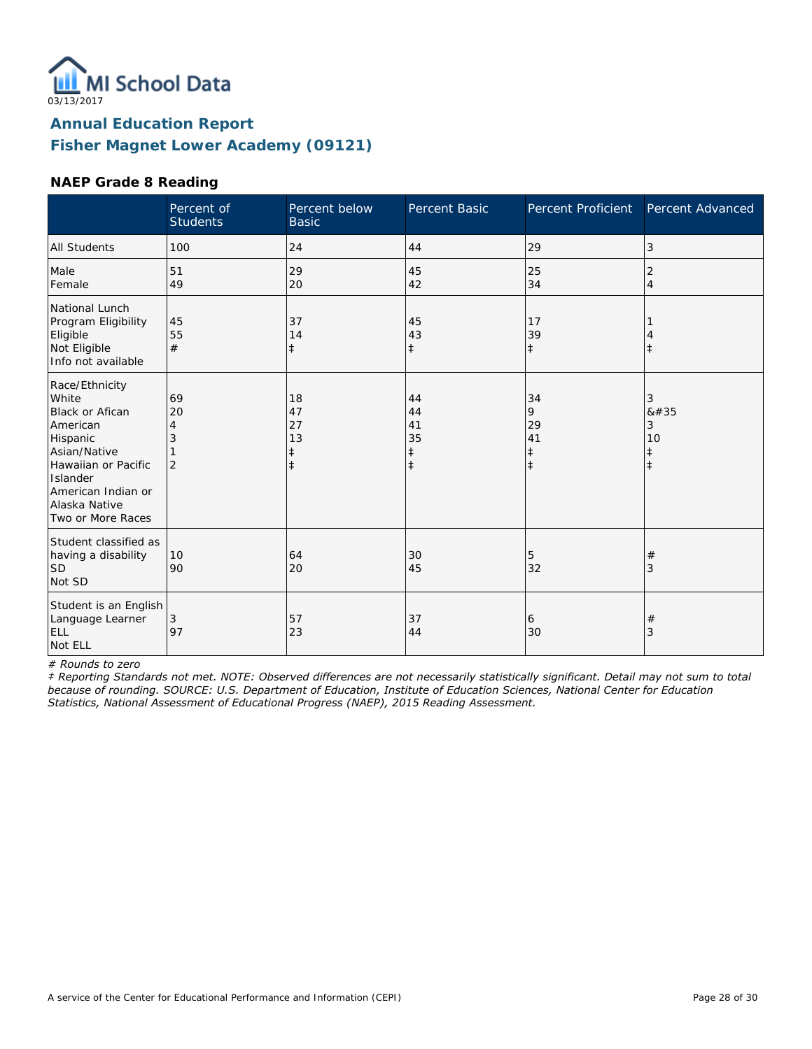

### **NAEP Grade 8 Reading**

|                                                                                                                                                                                          | Percent of<br><b>Students</b>        | Percent below<br><b>Basic</b>                    | Percent Basic                                    | Percent Proficient                              | Percent Advanced                        |
|------------------------------------------------------------------------------------------------------------------------------------------------------------------------------------------|--------------------------------------|--------------------------------------------------|--------------------------------------------------|-------------------------------------------------|-----------------------------------------|
| <b>All Students</b>                                                                                                                                                                      | 100                                  | 24                                               | 44                                               | 29                                              | 3                                       |
| Male<br>Female                                                                                                                                                                           | 51<br>49                             | 29<br>20                                         | 45<br>42                                         | 25<br>34                                        | 2<br>$\overline{4}$                     |
| National Lunch<br>Program Eligibility<br>Eligible<br>Not Eligible<br>Info not available                                                                                                  | 45<br>55<br>#                        | 37<br>14<br>$\ddagger$                           | 45<br>43<br>$\ddagger$                           | 17<br>39<br>$\ddagger$                          | $\ddagger$                              |
| Race/Ethnicity<br>White<br><b>Black or Afican</b><br>American<br>Hispanic<br>Asian/Native<br>Hawaiian or Pacific<br>Islander<br>American Indian or<br>Alaska Native<br>Two or More Races | 69<br>20<br>4<br>3<br>$\overline{2}$ | 18<br>47<br>27<br>13<br>$\ddagger$<br>$\ddagger$ | 44<br>44<br>41<br>35<br>$\ddagger$<br>$\ddagger$ | 34<br>9<br>29<br>41<br>$\ddagger$<br>$\ddagger$ | 3<br>8#35<br>3<br>10<br>ŧ<br>$\ddagger$ |
| Student classified as<br>having a disability<br>lsd<br>Not SD                                                                                                                            | 10<br>90                             | 64<br>20                                         | 30<br>45                                         | 5<br>32                                         | #<br>3                                  |
| Student is an English<br>Language Learner<br>ELL<br>Not ELL                                                                                                                              | 3<br>97                              | 57<br>23                                         | 37<br>44                                         | 6<br>30                                         | $^{\#}$<br>3                            |

*# Rounds to zero*

*‡ Reporting Standards not met. NOTE: Observed differences are not necessarily statistically significant. Detail may not sum to total because of rounding. SOURCE: U.S. Department of Education, Institute of Education Sciences, National Center for Education Statistics, National Assessment of Educational Progress (NAEP), 2015 Reading Assessment.*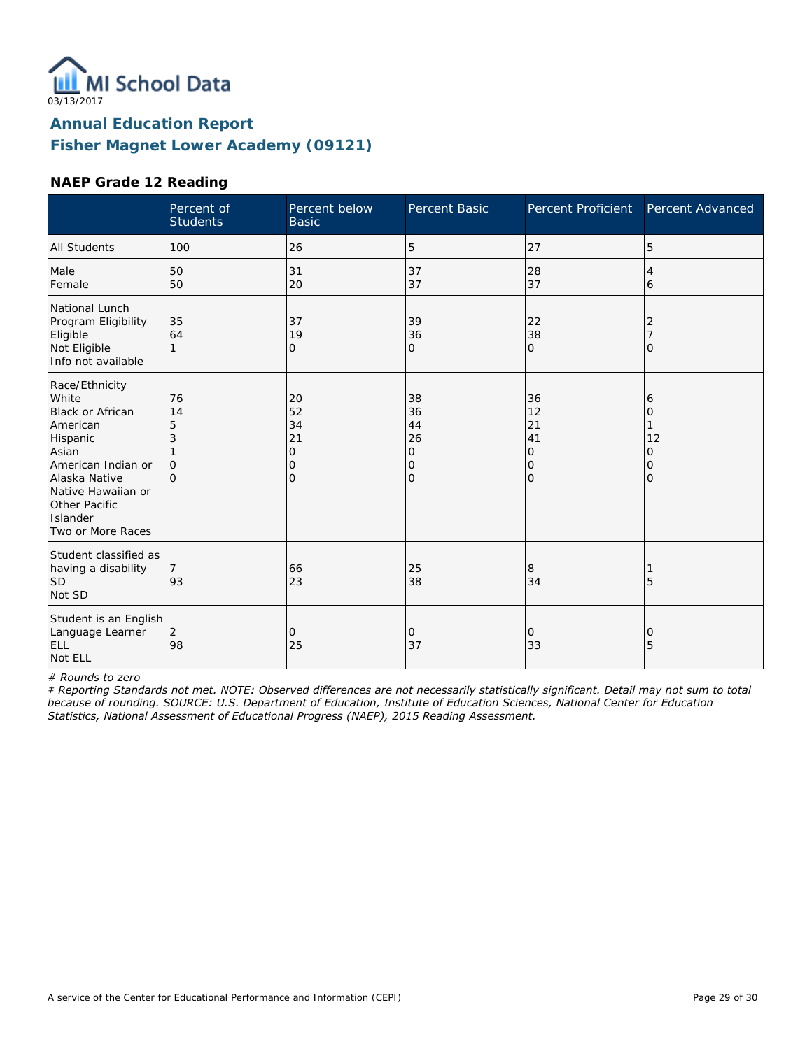

### **NAEP Grade 12 Reading**

|                                                                                                                                                                                             | Percent of<br><b>Students</b>              | Percent below<br><b>Basic</b>                    | Percent Basic                                    | <b>Percent Proficient</b>            | Percent Advanced                   |
|---------------------------------------------------------------------------------------------------------------------------------------------------------------------------------------------|--------------------------------------------|--------------------------------------------------|--------------------------------------------------|--------------------------------------|------------------------------------|
| <b>All Students</b>                                                                                                                                                                         | 100                                        | 26                                               | 5                                                | 27                                   | 5                                  |
| Male<br>Female                                                                                                                                                                              | 50<br>50                                   | 31<br>20                                         | 37<br>37                                         | 28<br>37                             | 4<br>6                             |
| National Lunch<br>Program Eligibility<br>Eligible<br>Not Eligible<br>Info not available                                                                                                     | 35<br>64<br>1                              | 37<br>19<br>$\mathbf{O}$                         | 39<br>36<br>O                                    | 22<br>38<br>$\mathbf 0$              | 2<br>O                             |
| Race/Ethnicity<br>White<br>Black or African<br>American<br>Hispanic<br>Asian<br>American Indian or<br>Alaska Native<br>Native Hawaiian or<br>Other Pacific<br>Islander<br>Two or More Races | 76<br>14<br>5<br>3<br>$\Omega$<br>$\Omega$ | 20<br>52<br>34<br>21<br>0<br>0<br>$\overline{O}$ | 38<br>36<br>44<br>26<br>0<br>0<br>$\overline{O}$ | 36<br>12<br>21<br>41<br>0<br>0<br>lo | 6<br>0<br>12<br>0<br>0<br>$\Omega$ |
| Student classified as<br>having a disability<br><b>SD</b><br>Not SD                                                                                                                         | 93                                         | 66<br>23                                         | 25<br>38                                         | 8<br>34                              | 5                                  |
| Student is an English<br>Language Learner<br>ELL<br>Not ELL                                                                                                                                 | 2<br>98                                    | $\mathbf{O}$<br>25                               | 0<br>37                                          | 0<br>33                              | 0<br>5                             |

*# Rounds to zero*

*‡ Reporting Standards not met. NOTE: Observed differences are not necessarily statistically significant. Detail may not sum to total because of rounding. SOURCE: U.S. Department of Education, Institute of Education Sciences, National Center for Education Statistics, National Assessment of Educational Progress (NAEP), 2015 Reading Assessment.*